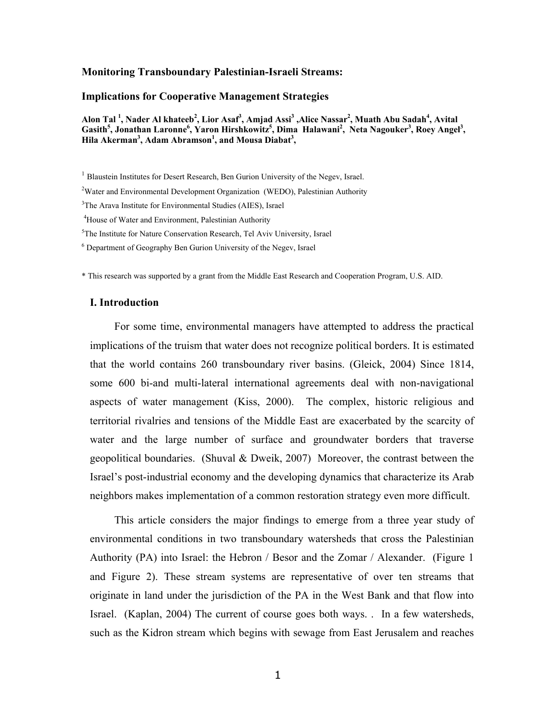## **Monitoring Transboundary Palestinian-Israeli Streams:**

#### **Implications for Cooperative Management Strategies**

**Alon Tal 1 , Nader Al khateeb<sup>2</sup> , Lior Asaf3 , Amjad Assi3 ,Alice Nassar2 , Muath Abu Sadah4 , Avital**  Gasith<sup>5</sup>, Jonathan Laronne<sup>6</sup>, Yaron Hirshkowitz<sup>5</sup>, Dima Halawani<sup>2</sup>, Neta Nagouker<sup>3</sup>, Roey Angel<sup>3</sup>, Hila Akerman<sup>3</sup>, Adam Abramson<sup>1</sup>, and Mousa Diabat<sup>3</sup>,

<sup>4</sup>House of Water and Environment, Palestinian Authority

<sup>5</sup>The Institute for Nature Conservation Research, Tel Aviv University, Israel

6 Department of Geography Ben Gurion University of the Negev, Israel

\* This research was supported by a grant from the Middle East Research and Cooperation Program, U.S. AID.

#### **I. Introduction**

For some time, environmental managers have attempted to address the practical implications of the truism that water does not recognize political borders. It is estimated that the world contains 260 transboundary river basins. (Gleick, 2004) Since 1814, some 600 bi-and multi-lateral international agreements deal with non-navigational aspects of water management (Kiss, 2000). The complex, historic religious and territorial rivalries and tensions of the Middle East are exacerbated by the scarcity of water and the large number of surface and groundwater borders that traverse geopolitical boundaries. (Shuval & Dweik, 2007) Moreover, the contrast between the Israel's post-industrial economy and the developing dynamics that characterize its Arab neighbors makes implementation of a common restoration strategy even more difficult.

This article considers the major findings to emerge from a three year study of environmental conditions in two transboundary watersheds that cross the Palestinian Authority (PA) into Israel: the Hebron / Besor and the Zomar / Alexander. (Figure 1 and Figure 2). These stream systems are representative of over ten streams that originate in land under the jurisdiction of the PA in the West Bank and that flow into Israel. (Kaplan, 2004) The current of course goes both ways. . In a few watersheds, such as the Kidron stream which begins with sewage from East Jerusalem and reaches

<sup>&</sup>lt;sup>1</sup> Blaustein Institutes for Desert Research, Ben Gurion University of the Negev, Israel.

<sup>&</sup>lt;sup>2</sup>Water and Environmental Development Organization (WEDO), Palestinian Authority

<sup>&</sup>lt;sup>3</sup>The Arava Institute for Environmental Studies (AIES), Israel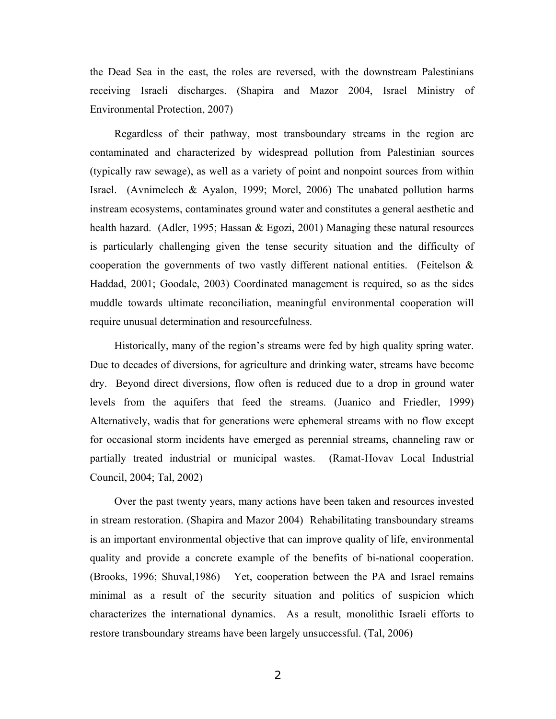the Dead Sea in the east, the roles are reversed, with the downstream Palestinians receiving Israeli discharges. (Shapira and Mazor 2004, Israel Ministry of Environmental Protection, 2007)

Regardless of their pathway, most transboundary streams in the region are contaminated and characterized by widespread pollution from Palestinian sources (typically raw sewage), as well as a variety of point and nonpoint sources from within Israel. (Avnimelech & Ayalon, 1999; Morel, 2006) The unabated pollution harms instream ecosystems, contaminates ground water and constitutes a general aesthetic and health hazard. (Adler, 1995; Hassan & Egozi, 2001) Managing these natural resources is particularly challenging given the tense security situation and the difficulty of cooperation the governments of two vastly different national entities. (Feitelson  $\&$ Haddad, 2001; Goodale, 2003) Coordinated management is required, so as the sides muddle towards ultimate reconciliation, meaningful environmental cooperation will require unusual determination and resourcefulness.

Historically, many of the region's streams were fed by high quality spring water. Due to decades of diversions, for agriculture and drinking water, streams have become dry. Beyond direct diversions, flow often is reduced due to a drop in ground water levels from the aquifers that feed the streams. (Juanico and Friedler, 1999) Alternatively, wadis that for generations were ephemeral streams with no flow except for occasional storm incidents have emerged as perennial streams, channeling raw or partially treated industrial or municipal wastes. (Ramat-Hovav Local Industrial Council, 2004; Tal, 2002)

Over the past twenty years, many actions have been taken and resources invested in stream restoration. (Shapira and Mazor 2004) Rehabilitating transboundary streams is an important environmental objective that can improve quality of life, environmental quality and provide a concrete example of the benefits of bi-national cooperation. (Brooks, 1996; Shuval,1986) Yet, cooperation between the PA and Israel remains minimal as a result of the security situation and politics of suspicion which characterizes the international dynamics. As a result, monolithic Israeli efforts to restore transboundary streams have been largely unsuccessful. (Tal, 2006)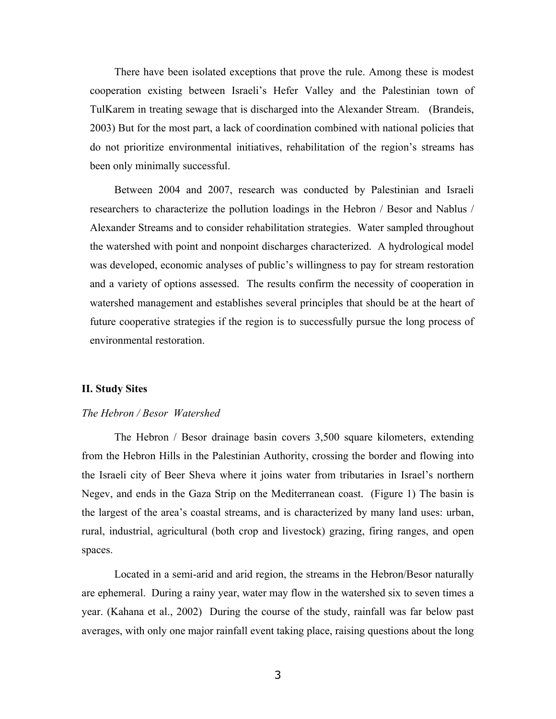There have been isolated exceptions that prove the rule. Among these is modest cooperation existing between Israeli's Hefer Valley and the Palestinian town of TulKarem in treating sewage that is discharged into the Alexander Stream. (Brandeis, 2003) But for the most part, a lack of coordination combined with national policies that do not prioritize environmental initiatives, rehabilitation of the region's streams has been only minimally successful.

Between 2004 and 2007, research was conducted by Palestinian and Israeli researchers to characterize the pollution loadings in the Hebron / Besor and Nablus / Alexander Streams and to consider rehabilitation strategies. Water sampled throughout the watershed with point and nonpoint discharges characterized. A hydrological model was developed, economic analyses of public's willingness to pay for stream restoration and a variety of options assessed. The results confirm the necessity of cooperation in watershed management and establishes several principles that should be at the heart of future cooperative strategies if the region is to successfully pursue the long process of environmental restoration.

## **II. Study Sites**

## *The Hebron / Besor Watershed*

The Hebron / Besor drainage basin covers 3,500 square kilometers, extending from the Hebron Hills in the Palestinian Authority, crossing the border and flowing into the Israeli city of Beer Sheva where it joins water from tributaries in Israel's northern Negev, and ends in the Gaza Strip on the Mediterranean coast. (Figure 1) The basin is the largest of the area's coastal streams, and is characterized by many land uses: urban, rural, industrial, agricultural (both crop and livestock) grazing, firing ranges, and open spaces.

Located in a semi-arid and arid region, the streams in the Hebron/Besor naturally are ephemeral. During a rainy year, water may flow in the watershed six to seven times a year. (Kahana et al., 2002) During the course of the study, rainfall was far below past averages, with only one major rainfall event taking place, raising questions about the long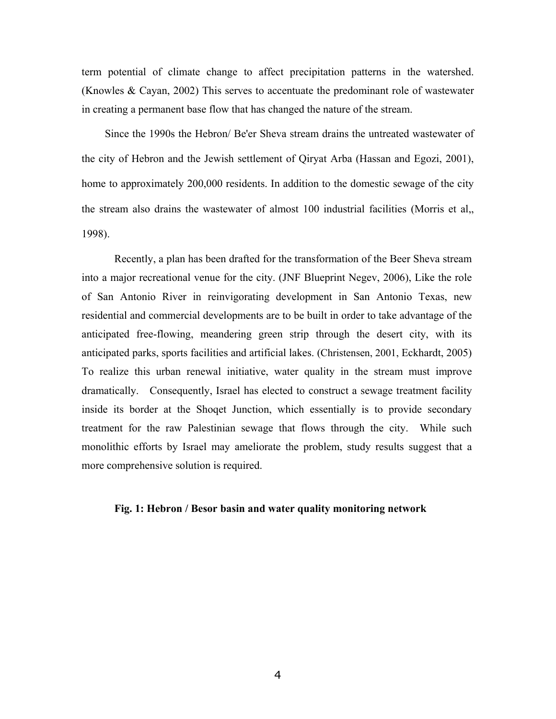term potential of climate change to affect precipitation patterns in the watershed. (Knowles & Cayan, 2002) This serves to accentuate the predominant role of wastewater in creating a permanent base flow that has changed the nature of the stream.

Since the 1990s the Hebron/ Be'er Sheva stream drains the untreated wastewater of the city of Hebron and the Jewish settlement of Qiryat Arba (Hassan and Egozi, 2001), home to approximately 200,000 residents. In addition to the domestic sewage of the city the stream also drains the wastewater of almost 100 industrial facilities (Morris et al,, 1998).

Recently, a plan has been drafted for the transformation of the Beer Sheva stream into a major recreational venue for the city. (JNF Blueprint Negev, 2006), Like the role of San Antonio River in reinvigorating development in San Antonio Texas, new residential and commercial developments are to be built in order to take advantage of the anticipated free-flowing, meandering green strip through the desert city, with its anticipated parks, sports facilities and artificial lakes. (Christensen, 2001, Eckhardt, 2005) To realize this urban renewal initiative, water quality in the stream must improve dramatically. Consequently, Israel has elected to construct a sewage treatment facility inside its border at the Shoqet Junction, which essentially is to provide secondary treatment for the raw Palestinian sewage that flows through the city. While such monolithic efforts by Israel may ameliorate the problem, study results suggest that a more comprehensive solution is required.

#### **Fig. 1: Hebron / Besor basin and water quality monitoring network**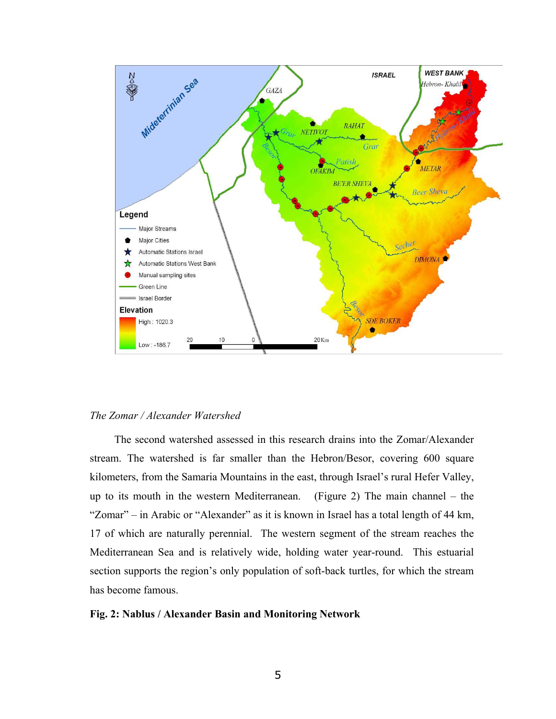

## *The Zomar / Alexander Watershed*

The second watershed assessed in this research drains into the Zomar/Alexander stream. The watershed is far smaller than the Hebron/Besor, covering 600 square kilometers, from the Samaria Mountains in the east, through Israel's rural Hefer Valley, up to its mouth in the western Mediterranean. (Figure 2) The main channel  $-$  the "Zomar" – in Arabic or "Alexander" as it is known in Israel has a total length of 44 km, 17 of which are naturally perennial. The western segment of the stream reaches the Mediterranean Sea and is relatively wide, holding water year-round. This estuarial section supports the region's only population of soft-back turtles, for which the stream has become famous.

## **Fig. 2: Nablus / Alexander Basin and Monitoring Network**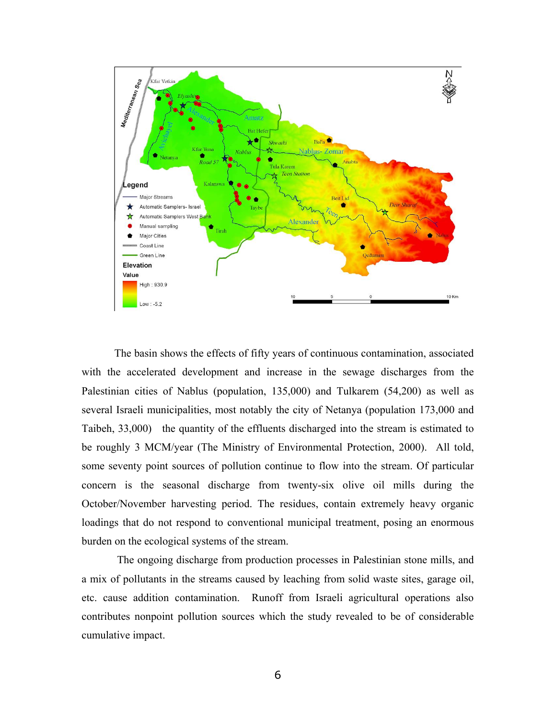

The basin shows the effects of fifty years of continuous contamination, associated with the accelerated development and increase in the sewage discharges from the Palestinian cities of Nablus (population, 135,000) and Tulkarem (54,200) as well as several Israeli municipalities, most notably the city of Netanya (population 173,000 and Taibeh, 33,000) the quantity of the effluents discharged into the stream is estimated to be roughly 3 MCM/year (The Ministry of Environmental Protection, 2000). All told, some seventy point sources of pollution continue to flow into the stream. Of particular concern is the seasonal discharge from twenty-six olive oil mills during the October/November harvesting period. The residues, contain extremely heavy organic loadings that do not respond to conventional municipal treatment, posing an enormous burden on the ecological systems of the stream.

The ongoing discharge from production processes in Palestinian stone mills, and a mix of pollutants in the streams caused by leaching from solid waste sites, garage oil, etc. cause addition contamination. Runoff from Israeli agricultural operations also contributes nonpoint pollution sources which the study revealed to be of considerable cumulative impact.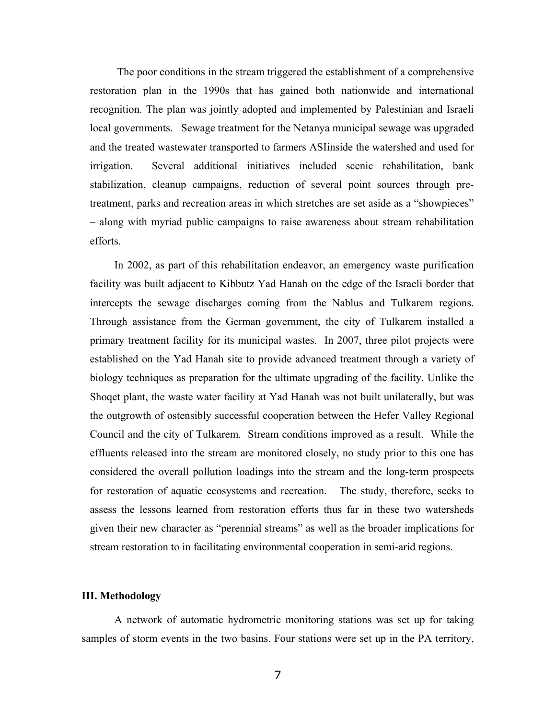The poor conditions in the stream triggered the establishment of a comprehensive restoration plan in the 1990s that has gained both nationwide and international recognition. The plan was jointly adopted and implemented by Palestinian and Israeli local governments. Sewage treatment for the Netanya municipal sewage was upgraded and the treated wastewater transported to farmers ASIinside the watershed and used for irrigation. Several additional initiatives included scenic rehabilitation, bank stabilization, cleanup campaigns, reduction of several point sources through pretreatment, parks and recreation areas in which stretches are set aside as a "showpieces" - along with myriad public campaigns to raise awareness about stream rehabilitation efforts.

In 2002, as part of this rehabilitation endeavor, an emergency waste purification facility was built adjacent to Kibbutz Yad Hanah on the edge of the Israeli border that intercepts the sewage discharges coming from the Nablus and Tulkarem regions. Through assistance from the German government, the city of Tulkarem installed a primary treatment facility for its municipal wastes. In 2007, three pilot projects were established on the Yad Hanah site to provide advanced treatment through a variety of biology techniques as preparation for the ultimate upgrading of the facility. Unlike the Shoqet plant, the waste water facility at Yad Hanah was not built unilaterally, but was the outgrowth of ostensibly successful cooperation between the Hefer Valley Regional Council and the city of Tulkarem. Stream conditions improved as a result. While the effluents released into the stream are monitored closely, no study prior to this one has considered the overall pollution loadings into the stream and the long-term prospects for restoration of aquatic ecosystems and recreation. The study, therefore, seeks to assess the lessons learned from restoration efforts thus far in these two watersheds given their new character as "perennial streams" as well as the broader implications for stream restoration to in facilitating environmental cooperation in semi-arid regions.

#### **III. Methodology**

A network of automatic hydrometric monitoring stations was set up for taking samples of storm events in the two basins. Four stations were set up in the PA territory,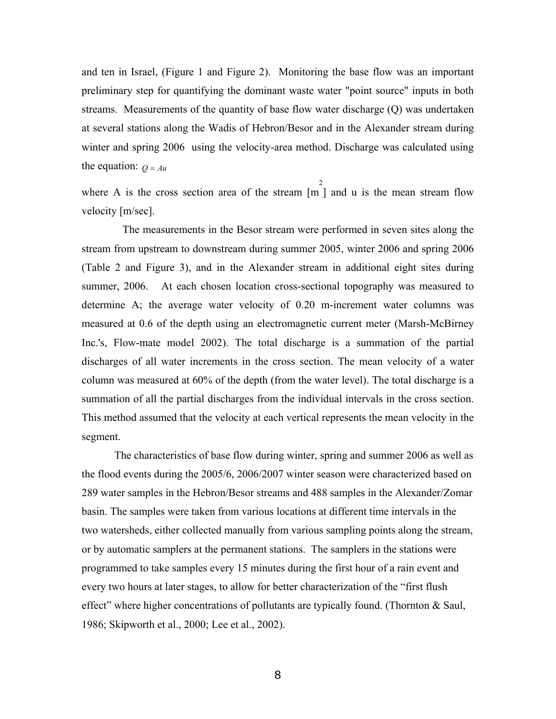and ten in Israel, (Figure 1 and Figure 2). Monitoring the base flow was an important preliminary step for quantifying the dominant waste water "point source" inputs in both streams. Measurements of the quantity of base flow water discharge (Q) was undertaken at several stations along the Wadis of Hebron/Besor and in the Alexander stream during winter and spring 2006 using the velocity-area method. Discharge was calculated using the equation:  $Q = Au$ 

where A is the cross section area of the stream [m ] and u is the mean stream flow velocity [m/sec].

 $\mathfrak{D}$ 

The measurements in the Besor stream were performed in seven sites along the stream from upstream to downstream during summer 2005, winter 2006 and spring 2006 (Table 2 and Figure 3), and in the Alexander stream in additional eight sites during summer, 2006. At each chosen location cross-sectional topography was measured to determine A; the average water velocity of 0.20 m-increment water columns was measured at 0.6 of the depth using an electromagnetic current meter (Marsh-McBirney Inc.'s, Flow-mate model 2002). The total discharge is a summation of the partial discharges of all water increments in the cross section. The mean velocity of a water column was measured at 60% of the depth (from the water level). The total discharge is a summation of all the partial discharges from the individual intervals in the cross section. This method assumed that the velocity at each vertical represents the mean velocity in the segment.

The characteristics of base flow during winter, spring and summer 2006 as well as the flood events during the 2005/6, 2006/2007 winter season were characterized based on 289 water samples in the Hebron/Besor streams and 488 samples in the Alexander/Zomar basin. The samples were taken from various locations at different time intervals in the two watersheds, either collected manually from various sampling points along the stream, or by automatic samplers at the permanent stations. The samplers in the stations were programmed to take samples every 15 minutes during the first hour of a rain event and every two hours at later stages, to allow for better characterization of the "first flush" effect" where higher concentrations of pollutants are typically found. (Thornton  $\&$  Saul, 1986; Skipworth et al., 2000; Lee et al., 2002).

8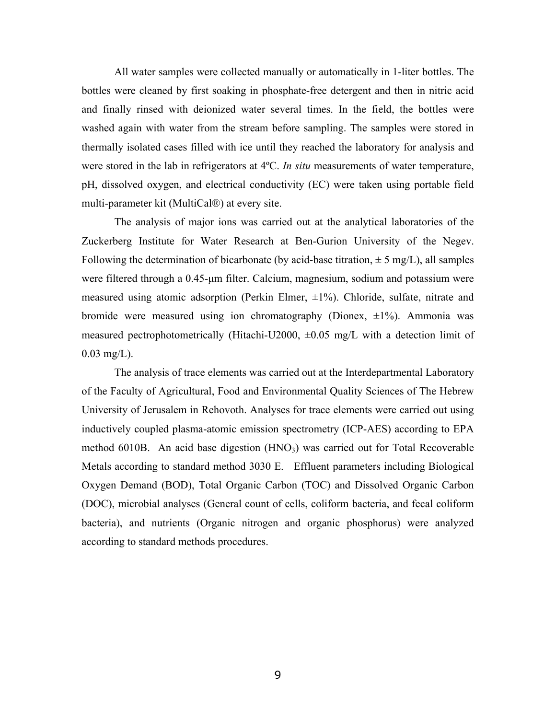All water samples were collected manually or automatically in 1-liter bottles. The bottles were cleaned by first soaking in phosphate-free detergent and then in nitric acid and finally rinsed with deionized water several times. In the field, the bottles were washed again with water from the stream before sampling. The samples were stored in thermally isolated cases filled with ice until they reached the laboratory for analysis and were stored in the lab in refrigerators at 4ºC. *In situ* measurements of water temperature, pH, dissolved oxygen, and electrical conductivity (EC) were taken using portable field multi-parameter kit (MultiCal®) at every site.

The analysis of major ions was carried out at the analytical laboratories of the Zuckerberg Institute for Water Research at Ben-Gurion University of the Negev. Following the determination of bicarbonate (by acid-base titration,  $\pm$  5 mg/L), all samples were filtered through a 0.45-µm filter. Calcium, magnesium, sodium and potassium were measured using atomic adsorption (Perkin Elmer,  $\pm 1\%$ ). Chloride, sulfate, nitrate and bromide were measured using ion chromatography (Dionex,  $\pm 1\%$ ). Ammonia was measured pectrophotometrically (Hitachi-U2000,  $\pm 0.05$  mg/L with a detection limit of  $0.03 \text{ mg/L}$ .

The analysis of trace elements was carried out at the Interdepartmental Laboratory of the Faculty of Agricultural, Food and Environmental Quality Sciences of The Hebrew University of Jerusalem in Rehovoth. Analyses for trace elements were carried out using inductively coupled plasma-atomic emission spectrometry (ICP-AES) according to EPA method  $6010B$ . An acid base digestion  $(HNO<sub>3</sub>)$  was carried out for Total Recoverable Metals according to standard method 3030 E. Effluent parameters including Biological Oxygen Demand (BOD), Total Organic Carbon (TOC) and Dissolved Organic Carbon (DOC), microbial analyses (General count of cells, coliform bacteria, and fecal coliform bacteria), and nutrients (Organic nitrogen and organic phosphorus) were analyzed according to standard methods procedures.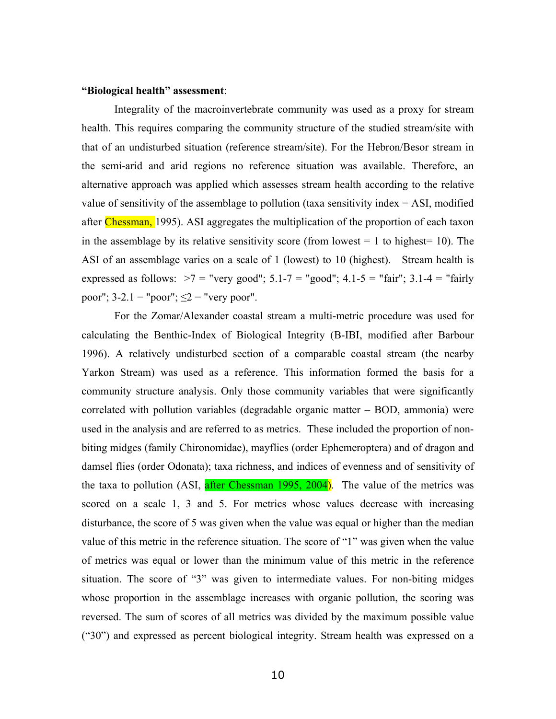#### **"Biological health" assessment**:

Integrality of the macroinvertebrate community was used as a proxy for stream health. This requires comparing the community structure of the studied stream/site with that of an undisturbed situation (reference stream/site). For the Hebron/Besor stream in the semi-arid and arid regions no reference situation was available. Therefore, an alternative approach was applied which assesses stream health according to the relative value of sensitivity of the assemblage to pollution (taxa sensitivity index  $= ASI$ , modified after Chessman, 1995). ASI aggregates the multiplication of the proportion of each taxon in the assemblage by its relative sensitivity score (from lowest  $= 1$  to highest  $= 10$ ). The ASI of an assemblage varies on a scale of 1 (lowest) to 10 (highest). Stream health is expressed as follows:  $>7$  = "very good"; 5.1-7 = "good"; 4.1-5 = "fair"; 3.1-4 = "fairly poor";  $3-2.1$  = "poor";  $\leq 2$  = "very poor".

For the Zomar/Alexander coastal stream a multi-metric procedure was used for calculating the Benthic-Index of Biological Integrity (B-IBI, modified after Barbour 1996). A relatively undisturbed section of a comparable coastal stream (the nearby Yarkon Stream) was used as a reference. This information formed the basis for a community structure analysis. Only those community variables that were significantly correlated with pollution variables (degradable organic matter  $-$  BOD, ammonia) were used in the analysis and are referred to as metrics. These included the proportion of nonbiting midges (family Chironomidae), mayflies (order Ephemeroptera) and of dragon and damsel flies (order Odonata); taxa richness, and indices of evenness and of sensitivity of the taxa to pollution (ASI, after Chessman 1995, 2004). The value of the metrics was scored on a scale 1, 3 and 5. For metrics whose values decrease with increasing disturbance, the score of 5 was given when the value was equal or higher than the median value of this metric in the reference situation. The score of " $1$ " was given when the value of metrics was equal or lower than the minimum value of this metric in the reference situation. The score of "3" was given to intermediate values. For non-biting midges whose proportion in the assemblage increases with organic pollution, the scoring was reversed. The sum of scores of all metrics was divided by the maximum possible value  $("30")$  and expressed as percent biological integrity. Stream health was expressed on a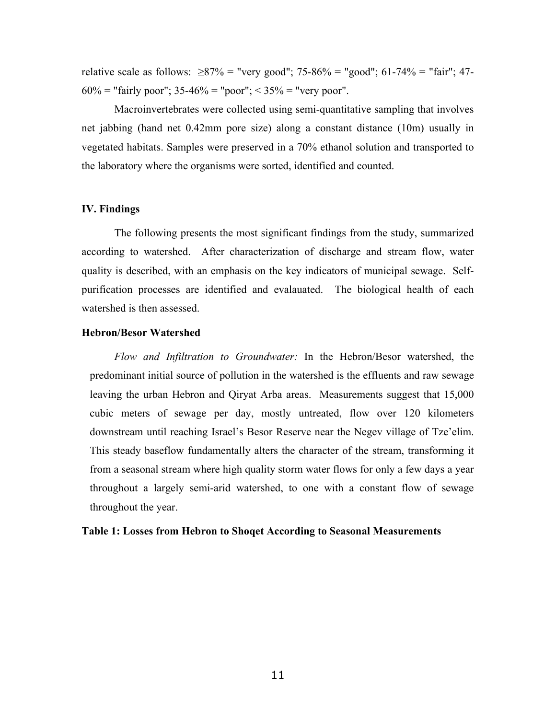relative scale as follows:  $\geq 87\%$  = "very good"; 75-86% = "good"; 61-74% = "fair"; 47- $60\%$  = "fairly poor";  $35-46\%$  = "poor";  $\lt 35\%$  = "very poor".

Macroinvertebrates were collected using semi-quantitative sampling that involves net jabbing (hand net 0.42mm pore size) along a constant distance (10m) usually in vegetated habitats. Samples were preserved in a 70% ethanol solution and transported to the laboratory where the organisms were sorted, identified and counted.

## **IV. Findings**

The following presents the most significant findings from the study, summarized according to watershed. After characterization of discharge and stream flow, water quality is described, with an emphasis on the key indicators of municipal sewage. Selfpurification processes are identified and evalauated. The biological health of each watershed is then assessed.

## **Hebron/Besor Watershed**

*Flow and Infiltration to Groundwater:* In the Hebron/Besor watershed, the predominant initial source of pollution in the watershed is the effluents and raw sewage leaving the urban Hebron and Qiryat Arba areas. Measurements suggest that 15,000 cubic meters of sewage per day, mostly untreated, flow over 120 kilometers downstream until reaching Israel's Besor Reserve near the Negev village of Tze'elim. This steady baseflow fundamentally alters the character of the stream, transforming it from a seasonal stream where high quality storm water flows for only a few days a year throughout a largely semi-arid watershed, to one with a constant flow of sewage throughout the year.

## **Table 1: Losses from Hebron to Shoqet According to Seasonal Measurements**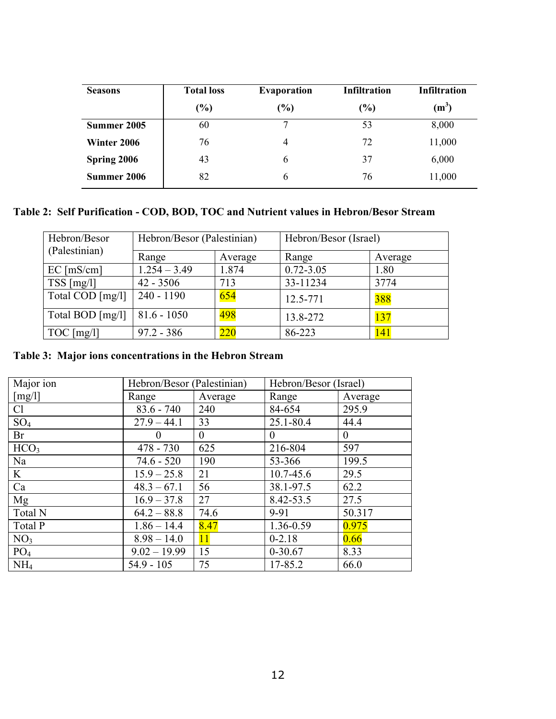| <b>Seasons</b> | <b>Total loss</b> | <b>Evaporation</b> | <b>Infiltration</b> | <b>Infiltration</b> |
|----------------|-------------------|--------------------|---------------------|---------------------|
|                | $(\%)$            | $\frac{9}{6}$      | $(\%)$              | $(m^3)$             |
| Summer 2005    | 60                | ┑                  | 53                  | 8,000               |
| Winter 2006    | 76                | 4                  | 72                  | 11,000              |
| Spring 2006    | 43                | 6                  | 37                  | 6,000               |
| Summer 2006    | 82                | 6                  | 76                  | 11,000              |

## **Table 2: Self Purification - COD, BOD, TOC and Nutrient values in Hebron/Besor Stream**

| Hebron/Besor<br>(Palestinian)      | Hebron/Besor (Palestinian) |                  | Hebron/Besor (Israel) |         |  |
|------------------------------------|----------------------------|------------------|-----------------------|---------|--|
|                                    | Range                      | Average          | Range                 | Average |  |
| $EC$ [mS/cm]                       | $1.254 - 3.49$             | 1.874            | $0.72 - 3.05$         | 1.80    |  |
| TSS [mg/l]                         | $42 - 3506$                | 713              | 33-11234              | 3774    |  |
| Total COD [mg/l]                   | $240 - 1190$               | 654              | 12.5-771              | 388     |  |
| Total BOD $\lfloor$ mg/l $\rfloor$ | $81.6 - 1050$              | 498              | 13.8-272              | 137     |  |
| $TOC$ [mg/l]                       | $97.2 - 386$               | $\overline{220}$ | 86-223                | 141     |  |

## **Table 3: Major ions concentrations in the Hebron Stream**

| Major ion         | Hebron/Besor (Palestinian) |                | Hebron/Besor (Israel) |              |  |
|-------------------|----------------------------|----------------|-----------------------|--------------|--|
| [mg/l]            | Range                      | Average        | Range                 | Average      |  |
| Cl                | $83.6 - 740$               | 240            | 84-654                | 295.9        |  |
| $SO_4$            | $27.9 - 44.1$              | 33             | 25.1-80.4             | 44.4         |  |
| Br                | $\theta$                   | $\overline{0}$ | $\theta$              | $\mathbf{0}$ |  |
| HCO <sub>3</sub>  | $478 - 730$                | 625            | 216-804               | 597          |  |
| Na                | $74.6 - 520$               | 190            | 53-366                | 199.5        |  |
| $K_{\mathcal{I}}$ | $15.9 - 25.8$              | 21             | 10.7-45.6             | 29.5         |  |
| Ca                | $48.3 - 67.1$              | 56             | 38.1-97.5             | 62.2         |  |
| Mg                | $16.9 - 37.8$              | 27             | 8.42-53.5             | 27.5         |  |
| Total N           | $64.2 - 88.8$              | 74.6           | $9 - 91$              | 50.317       |  |
| Total P           | $1.86 - 14.4$              | 8.47           | 1.36-0.59             | 0.975        |  |
| NO <sub>3</sub>   | $8.98 - 14.0$              | <b>11</b>      | $0 - 2.18$            | 0.66         |  |
| PO <sub>4</sub>   | $9.02 - 19.99$             | 15             | $0-30.67$             | 8.33         |  |
| NH <sub>4</sub>   | $54.9 - 105$               | 75             | 17-85.2               | 66.0         |  |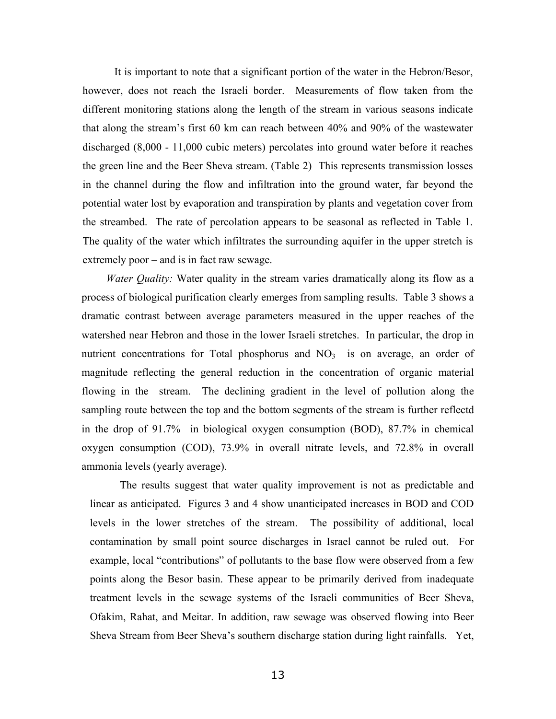It is important to note that a significant portion of the water in the Hebron/Besor, however, does not reach the Israeli border. Measurements of flow taken from the different monitoring stations along the length of the stream in various seasons indicate that along the stream's first 60 km can reach between  $40\%$  and  $90\%$  of the wastewater discharged (8,000 - 11,000 cubic meters) percolates into ground water before it reaches the green line and the Beer Sheva stream. (Table 2) This represents transmission losses in the channel during the flow and infiltration into the ground water, far beyond the potential water lost by evaporation and transpiration by plants and vegetation cover from the streambed. The rate of percolation appears to be seasonal as reflected in Table 1. The quality of the water which infiltrates the surrounding aquifer in the upper stretch is extremely poor  $-$  and is in fact raw sewage.

*Water Quality:* Water quality in the stream varies dramatically along its flow as a process of biological purification clearly emerges from sampling results. Table 3 shows a dramatic contrast between average parameters measured in the upper reaches of the watershed near Hebron and those in the lower Israeli stretches. In particular, the drop in nutrient concentrations for Total phosphorus and  $NO<sub>3</sub>$  is on average, an order of magnitude reflecting the general reduction in the concentration of organic material flowing in the stream. The declining gradient in the level of pollution along the sampling route between the top and the bottom segments of the stream is further reflectd in the drop of 91.7% in biological oxygen consumption (BOD), 87.7% in chemical oxygen consumption (COD), 73.9% in overall nitrate levels, and 72.8% in overall ammonia levels (yearly average).

The results suggest that water quality improvement is not as predictable and linear as anticipated. Figures 3 and 4 show unanticipated increases in BOD and COD levels in the lower stretches of the stream. The possibility of additional, local contamination by small point source discharges in Israel cannot be ruled out. For example, local "contributions" of pollutants to the base flow were observed from a few points along the Besor basin. These appear to be primarily derived from inadequate treatment levels in the sewage systems of the Israeli communities of Beer Sheva, Ofakim, Rahat, and Meitar. In addition, raw sewage was observed flowing into Beer Sheva Stream from Beer Sheva's southern discharge station during light rainfalls. Yet,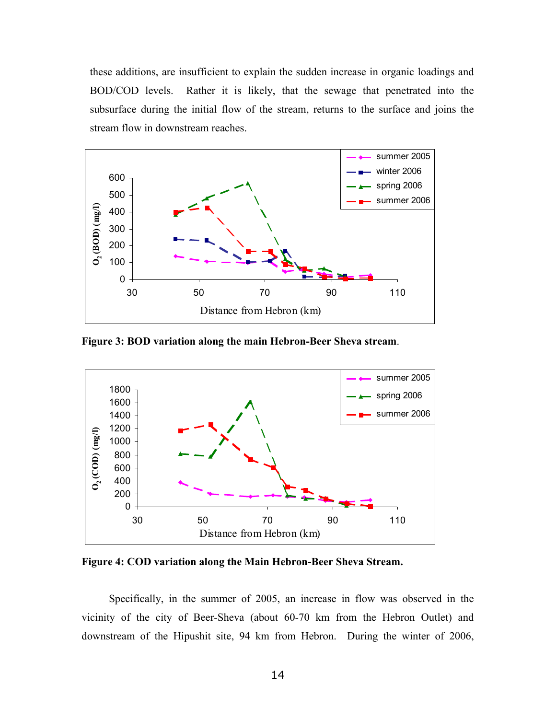these additions, are insufficient to explain the sudden increase in organic loadings and BOD/COD levels. Rather it is likely, that the sewage that penetrated into the subsurface during the initial flow of the stream, returns to the surface and joins the stream flow in downstream reaches.



**Figure 3: BOD variation along the main Hebron-Beer Sheva stream**.



**Figure 4: COD variation along the Main Hebron-Beer Sheva Stream.**

Specifically, in the summer of 2005, an increase in flow was observed in the vicinity of the city of Beer-Sheva (about 60-70 km from the Hebron Outlet) and downstream of the Hipushit site, 94 km from Hebron. During the winter of 2006,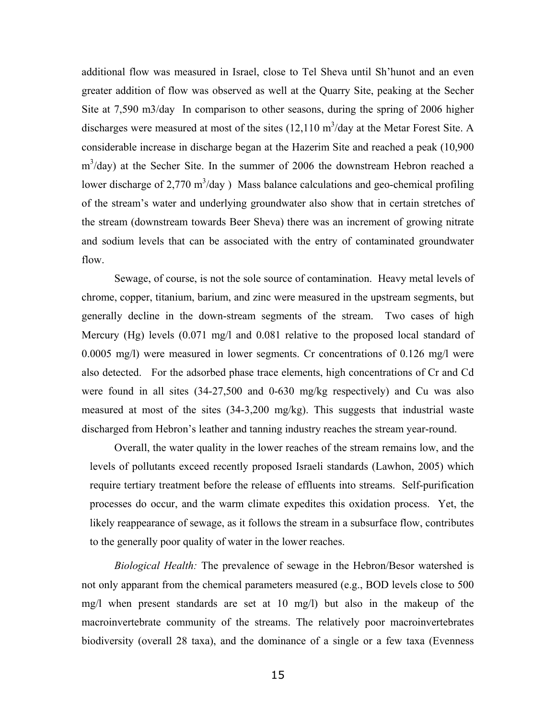additional flow was measured in Israel, close to Tel Sheva until Sh'hunot and an even greater addition of flow was observed as well at the Quarry Site, peaking at the Secher Site at 7,590 m3/day In comparison to other seasons, during the spring of 2006 higher discharges were measured at most of the sites  $(12,110 \text{ m}^3/\text{day}$  at the Metar Forest Site. A considerable increase in discharge began at the Hazerim Site and reached a peak (10,900  $m<sup>3</sup>/day$ ) at the Secher Site. In the summer of 2006 the downstream Hebron reached a lower discharge of 2,770  $\text{m}^3/\text{day}$ ) Mass balance calculations and geo-chemical profiling of the stream's water and underlying groundwater also show that in certain stretches of the stream (downstream towards Beer Sheva) there was an increment of growing nitrate and sodium levels that can be associated with the entry of contaminated groundwater flow.

Sewage, of course, is not the sole source of contamination. Heavy metal levels of chrome, copper, titanium, barium, and zinc were measured in the upstream segments, but generally decline in the down-stream segments of the stream. Two cases of high Mercury (Hg) levels (0.071 mg/l and 0.081 relative to the proposed local standard of 0.0005 mg/l) were measured in lower segments. Cr concentrations of 0.126 mg/l were also detected. For the adsorbed phase trace elements, high concentrations of Cr and Cd were found in all sites (34-27,500 and 0-630 mg/kg respectively) and Cu was also measured at most of the sites (34-3,200 mg/kg). This suggests that industrial waste discharged from Hebron's leather and tanning industry reaches the stream year-round.

Overall, the water quality in the lower reaches of the stream remains low, and the levels of pollutants exceed recently proposed Israeli standards (Lawhon, 2005) which require tertiary treatment before the release of effluents into streams. Self-purification processes do occur, and the warm climate expedites this oxidation process. Yet, the likely reappearance of sewage, as it follows the stream in a subsurface flow, contributes to the generally poor quality of water in the lower reaches.

*Biological Health:* The prevalence of sewage in the Hebron/Besor watershed is not only apparant from the chemical parameters measured (e.g., BOD levels close to 500 mg/l when present standards are set at 10 mg/l) but also in the makeup of the macroinvertebrate community of the streams. The relatively poor macroinvertebrates biodiversity (overall 28 taxa), and the dominance of a single or a few taxa (Evenness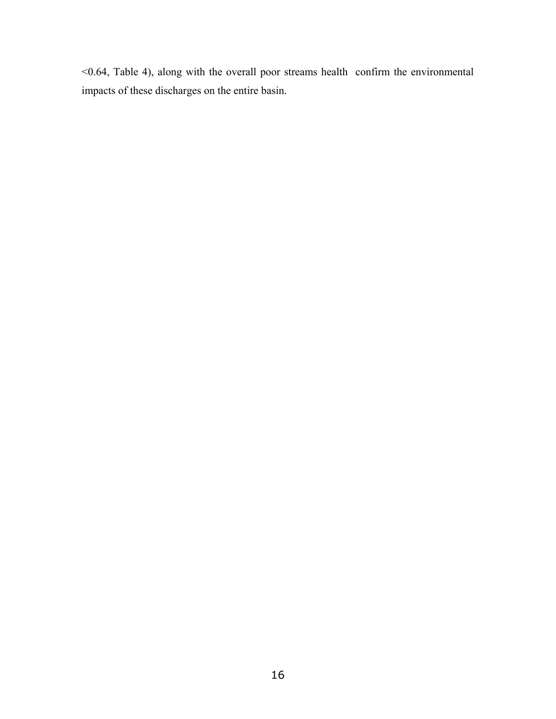<0.64, Table 4), along with the overall poor streams health confirm the environmental impacts of these discharges on the entire basin.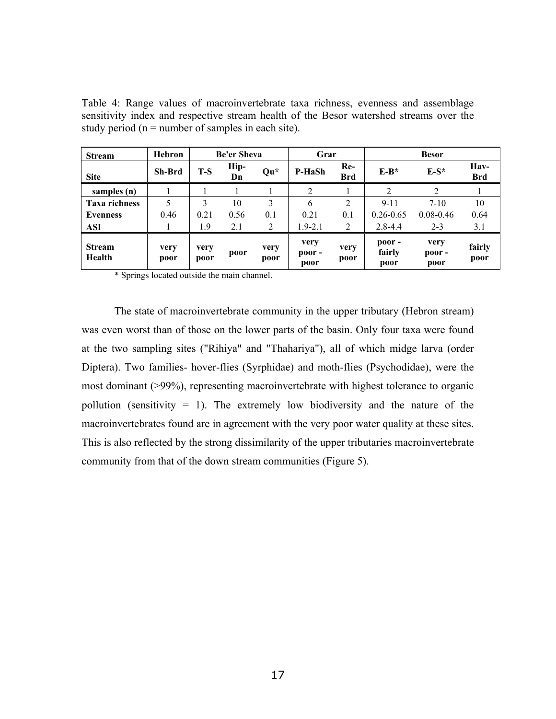Table 4: Range values of macroinvertebrate taxa richness, evenness and assemblage sensitivity index and respective stream health of the Besor watershed streams over the study period ( $n =$  number of samples in each site).

| <b>Stream</b>           | Hebron        |              | <b>Be'er Sheva</b> |                 | Grar                          |                   |                          |                               |                    |
|-------------------------|---------------|--------------|--------------------|-----------------|-------------------------------|-------------------|--------------------------|-------------------------------|--------------------|
| <b>Site</b>             | <b>Sh-Brd</b> | $T-S$        | Hip-<br>Dn         | $\mathbf{Qu}^*$ | P-HaSh                        | Re-<br><b>Brd</b> | $E-B*$                   | $E-S^*$                       | Hav-<br><b>Brd</b> |
| samples (n)             |               |              |                    |                 |                               |                   |                          |                               |                    |
| <b>Taxa richness</b>    |               | 3            | 10                 | 3               | 6                             | 2                 | $9 - 11$                 | $7-10$                        | 10                 |
| Evenness                | 0.46          | 0.21         | 0.56               | 0.1             | 0.21                          | 0.1               | $0.26 - 0.65$            | $0.08 - 0.46$                 | 0.64               |
| <b>ASI</b>              |               | 1.9          | 2.1                | 2               | $1.9 - 2.1$                   | 2                 | $2.8 - 4.4$              | $2 - 3$                       | 3.1                |
| <b>Stream</b><br>Health | very<br>poor  | very<br>poor | poor               | very<br>poor    | very<br>$\bf{poor}$ -<br>poor | very<br>poor      | poor -<br>fairly<br>poor | very<br>$\bf{poor}$ -<br>poor | fairly<br>poor     |

\* Springs located outside the main channel.

The state of macroinvertebrate community in the upper tributary (Hebron stream) was even worst than of those on the lower parts of the basin. Only four taxa were found at the two sampling sites ("Rihiya" and "Thahariya"), all of which midge larva (order Diptera). Two families- hover-flies (Syrphidae) and moth-flies (Psychodidae), were the most dominant (>99%), representing macroinvertebrate with highest tolerance to organic pollution (sensitivity = 1). The extremely low biodiversity and the nature of the macroinvertebrates found are in agreement with the very poor water quality at these sites. This is also reflected by the strong dissimilarity of the upper tributaries macroinvertebrate community from that of the down stream communities (Figure 5).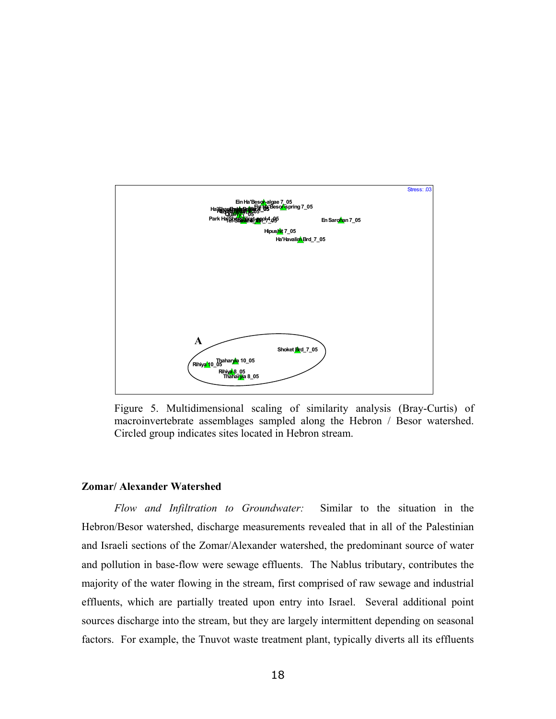

Figure 5. Multidimensional scaling of similarity analysis (Bray-Curtis) of macroinvertebrate assemblages sampled along the Hebron / Besor watershed. Circled group indicates sites located in Hebron stream.

## **Zomar/ Alexander Watershed**

*Flow and Infiltration to Groundwater:* Similar to the situation in the Hebron/Besor watershed, discharge measurements revealed that in all of the Palestinian and Israeli sections of the Zomar/Alexander watershed, the predominant source of water and pollution in base-flow were sewage effluents. The Nablus tributary, contributes the majority of the water flowing in the stream, first comprised of raw sewage and industrial effluents, which are partially treated upon entry into Israel. Several additional point sources discharge into the stream, but they are largely intermittent depending on seasonal factors. For example, the Tnuvot waste treatment plant, typically diverts all its effluents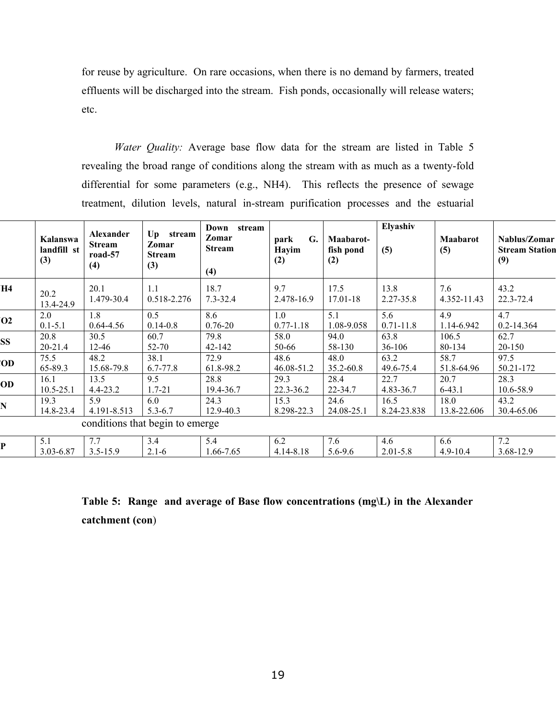for reuse by agriculture. On rare occasions, when there is no demand by farmers, treated effluents will be discharged into the stream. Fish ponds, occasionally will release waters; etc.

*Water Quality:* Average base flow data for the stream are listed in Table 5 revealing the broad range of conditions along the stream with as much as a twenty-fold differential for some parameters (e.g., NH4). This reflects the presence of sewage treatment, dilution levels, natural in-stream purification processes and the estuarial

|                | Kalanswa<br>landfill st<br>(3) | Alexander<br><b>Stream</b><br>road-57<br>(4) | Up stream<br>Zomar<br><b>Stream</b><br>(3) | Down<br>stream<br>Zomar<br><b>Stream</b><br>(4) | G.<br>park<br>Hayim<br>(2) | Maabarot-<br>fish pond<br>(2) | Elyashiv<br>(5) | Maabarot<br>(5) | Nablus/Zomar<br><b>Stream Station</b><br>(9) |
|----------------|--------------------------------|----------------------------------------------|--------------------------------------------|-------------------------------------------------|----------------------------|-------------------------------|-----------------|-----------------|----------------------------------------------|
| H4             | 20.2                           | 20.1                                         | 1.1                                        | 18.7                                            | 9.7                        | 17.5                          | 13.8            | 7.6             | 43.2                                         |
|                | 13.4-24.9                      | 1.479-30.4                                   | 0.518-2.276                                | $7.3 - 32.4$                                    | 2.478-16.9                 | 17.01-18                      | 2.27-35.8       | 4.352-11.43     | 22.3-72.4                                    |
| O <sub>2</sub> | 2.0                            | 1.8                                          | 0.5                                        | 8.6                                             | 1.0                        | 5.1                           | 5.6             | 4.9             | 4.7                                          |
|                | $0.1 - 5.1$                    | $0.64 - 4.56$                                | $0.14 - 0.8$                               | $0.76 - 20$                                     | $0.77 - 1.18$              | 1.08-9.058                    | $0.71 - 11.8$   | 1.14-6.942      | 0.2-14.364                                   |
| <b>SS</b>      | 20.8                           | 30.5                                         | 60.7                                       | 79.8                                            | 58.0                       | 94.0                          | 63.8            | 106.5           | 62.7                                         |
|                | 20-21.4                        | $12 - 46$                                    | $52 - 70$                                  | 42-142                                          | 50-66                      | 58-130                        | $36-106$        | 80-134          | 20-150                                       |
| OD             | 75.5                           | 48.2                                         | 38.1                                       | 72.9                                            | 48.6                       | 48.0                          | 63.2            | 58.7            | 97.5                                         |
|                | 65-89.3                        | 15.68-79.8                                   | 6.7-77.8                                   | 61.8-98.2                                       | 46.08-51.2                 | 35.2-60.8                     | 49.6-75.4       | 51.8-64.96      | 50.21-172                                    |
| OD             | 16.1                           | 13.5                                         | 9.5                                        | 28.8                                            | 29.3                       | 28.4                          | 22.7            | 20.7            | 28.3                                         |
|                | $10.5 - 25.1$                  | $4.4 - 23.2$                                 | $1.7 - 21$                                 | 19.4-36.7                                       | 22.3-36.2                  | 22-34.7                       | 4.83-36.7       | $6-43.1$        | 10.6-58.9                                    |
| N              | 19.3                           | 5.9                                          | 6.0                                        | 24.3                                            | 15.3                       | 24.6                          | 16.5            | 18.0            | 43.2                                         |
|                | 14.8-23.4                      | 4.191-8.513                                  | $5.3 - 6.7$                                | 12.9-40.3                                       | 8.298-22.3                 | 24.08-25.1                    | 8.24-23.838     | 13.8-22.606     | 30.4-65.06                                   |
|                |                                |                                              | conditions that begin to emerge            |                                                 |                            |                               |                 |                 |                                              |
| P              | 5.1                            | 7.7                                          | 3.4                                        | 5.4                                             | 6.2                        | 7.6                           | 4.6             | 6.6             | 7.2                                          |
|                | 3.03-6.87                      | $3.5 - 15.9$                                 | $2.1 - 6$                                  | 1.66-7.65                                       | 4.14-8.18                  | $5.6 - 9.6$                   | $2.01 - 5.8$    | $4.9 - 10.4$    | 3.68-12.9                                    |

## **Table 5: Range and average of Base flow concentrations (mg\L) in the Alexander catchment (con**)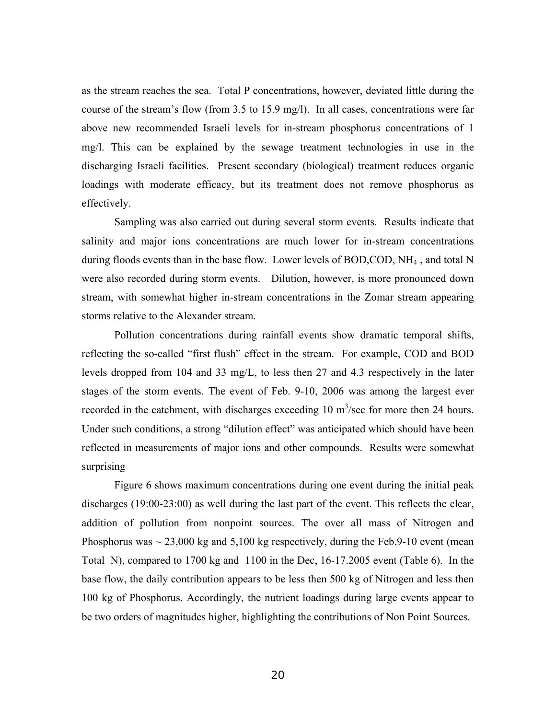as the stream reaches the sea. Total P concentrations, however, deviated little during the course of the stream's flow (from  $3.5$  to  $15.9$  mg/l). In all cases, concentrations were far above new recommended Israeli levels for in-stream phosphorus concentrations of 1 mg/l. This can be explained by the sewage treatment technologies in use in the discharging Israeli facilities. Present secondary (biological) treatment reduces organic loadings with moderate efficacy, but its treatment does not remove phosphorus as effectively.

Sampling was also carried out during several storm events. Results indicate that salinity and major ions concentrations are much lower for in-stream concentrations during floods events than in the base flow. Lower levels of BOD, COD, NH<sub>4</sub>, and total N were also recorded during storm events. Dilution, however, is more pronounced down stream, with somewhat higher in-stream concentrations in the Zomar stream appearing storms relative to the Alexander stream.

Pollution concentrations during rainfall events show dramatic temporal shifts, reflecting the so-called "first flush" effect in the stream. For example, COD and BOD levels dropped from 104 and 33 mg/L, to less then 27 and 4.3 respectively in the later stages of the storm events. The event of Feb. 9-10, 2006 was among the largest ever recorded in the catchment, with discharges exceeding  $10 \text{ m}^3/\text{sec}$  for more then 24 hours. Under such conditions, a strong "dilution effect" was anticipated which should have been reflected in measurements of major ions and other compounds. Results were somewhat surprising

Figure 6 shows maximum concentrations during one event during the initial peak discharges (19:00-23:00) as well during the last part of the event. This reflects the clear, addition of pollution from nonpoint sources. The over all mass of Nitrogen and Phosphorus was  $\sim$  23,000 kg and 5,100 kg respectively, during the Feb.9-10 event (mean Total N), compared to 1700 kg and 1100 in the Dec, 16-17.2005 event (Table 6). In the base flow, the daily contribution appears to be less then 500 kg of Nitrogen and less then 100 kg of Phosphorus. Accordingly, the nutrient loadings during large events appear to be two orders of magnitudes higher, highlighting the contributions of Non Point Sources.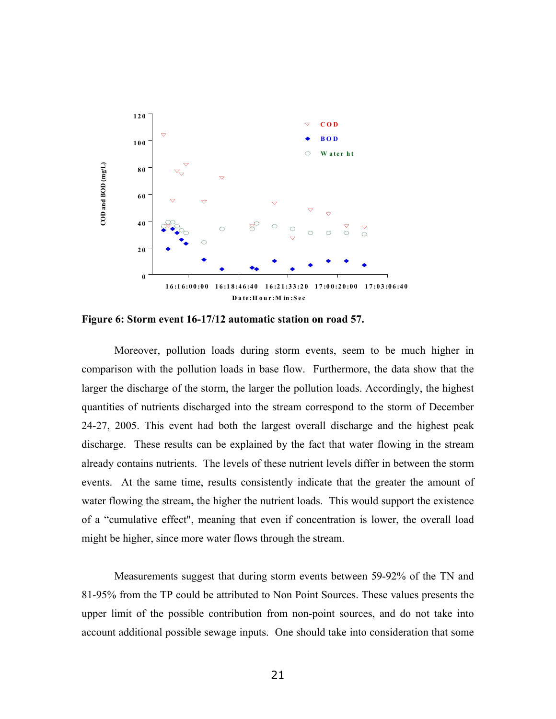

**Figure 6: Storm event 16-17/12 automatic station on road 57.** 

Moreover, pollution loads during storm events, seem to be much higher in comparison with the pollution loads in base flow. Furthermore, the data show that the larger the discharge of the storm, the larger the pollution loads. Accordingly, the highest quantities of nutrients discharged into the stream correspond to the storm of December 24-27, 2005. This event had both the largest overall discharge and the highest peak discharge. These results can be explained by the fact that water flowing in the stream already contains nutrients. The levels of these nutrient levels differ in between the storm events. At the same time, results consistently indicate that the greater the amount of water flowing the stream**,** the higher the nutrient loads. This would support the existence of a "cumulative effect", meaning that even if concentration is lower, the overall load might be higher, since more water flows through the stream.

Measurements suggest that during storm events between 59-92% of the TN and 81-95% from the TP could be attributed to Non Point Sources. These values presents the upper limit of the possible contribution from non-point sources, and do not take into account additional possible sewage inputs. One should take into consideration that some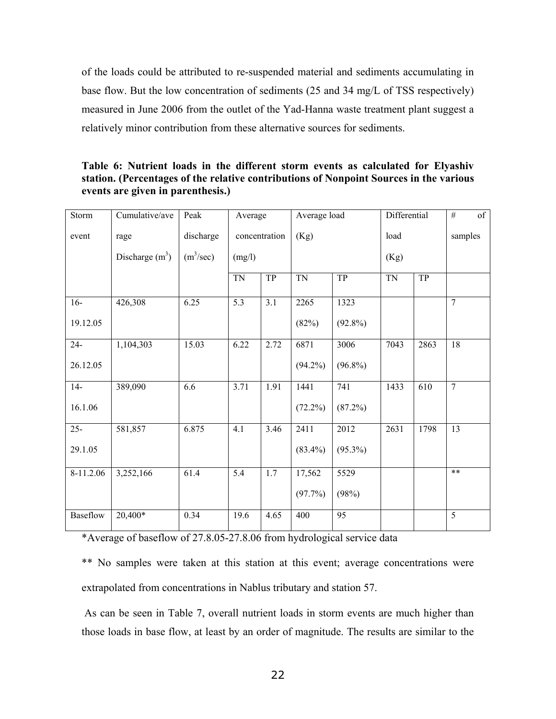of the loads could be attributed to re-suspended material and sediments accumulating in base flow. But the low concentration of sediments (25 and 34 mg/L of TSS respectively) measured in June 2006 from the outlet of the Yad-Hanna waste treatment plant suggest a relatively minor contribution from these alternative sources for sediments.

**Table 6: Nutrient loads in the different storm events as calculated for Elyashiv station. (Percentages of the relative contributions of Nonpoint Sources in the various events are given in parenthesis.)** 

| Storm     | Cumulative/ave   | Peak                  | Average       |      | Average load |            | Differential |      | of<br>$\#$     |
|-----------|------------------|-----------------------|---------------|------|--------------|------------|--------------|------|----------------|
| event     | rage             | discharge             | concentration |      | (Kg)         |            | load         |      | samples        |
|           | Discharge $(m3)$ | (m <sup>3</sup> /sec) | (mg/l)        |      |              |            |              |      |                |
|           |                  |                       | <b>TN</b>     | TP   | <b>TN</b>    | TP         | <b>TN</b>    | TP   |                |
| $16-$     | 426,308          | 6.25                  | 5.3           | 3.1  | 2265         | 1323       |              |      | $\overline{7}$ |
| 19.12.05  |                  |                       |               |      | (82%)        | $(92.8\%)$ |              |      |                |
| $24 -$    | 1,104,303        | 15.03                 | 6.22          | 2.72 | 6871         | 3006       | 7043         | 2863 | 18             |
| 26.12.05  |                  |                       |               |      | $(94.2\%)$   | $(96.8\%)$ |              |      |                |
| $14-$     | 389,090          | 6.6                   | 3.71          | 1.91 | 1441         | 741        | 1433         | 610  | $\overline{7}$ |
| 16.1.06   |                  |                       |               |      | $(72.2\%)$   | (87.2%)    |              |      |                |
| $25 -$    | 581,857          | 6.875                 | 4.1           | 3.46 | 2411         | 2012       | 2631         | 1798 | 13             |
| 29.1.05   |                  |                       |               |      | $(83.4\%)$   | $(95.3\%)$ |              |      |                |
| 8-11.2.06 | 3,252,166        | 61.4                  | 5.4           | 1.7  | 17,562       | 5529       |              |      | $**$           |
|           |                  |                       |               |      | (97.7%)      | (98%)      |              |      |                |
| Baseflow  | 20,400*          | 0.34                  | 19.6          | 4.65 | 400          | 95         |              |      | 5              |

\*Average of baseflow of 27.8.05-27.8.06 from hydrological service data

\*\* No samples were taken at this station at this event; average concentrations were extrapolated from concentrations in Nablus tributary and station 57.

As can be seen in Table 7, overall nutrient loads in storm events are much higher than those loads in base flow, at least by an order of magnitude. The results are similar to the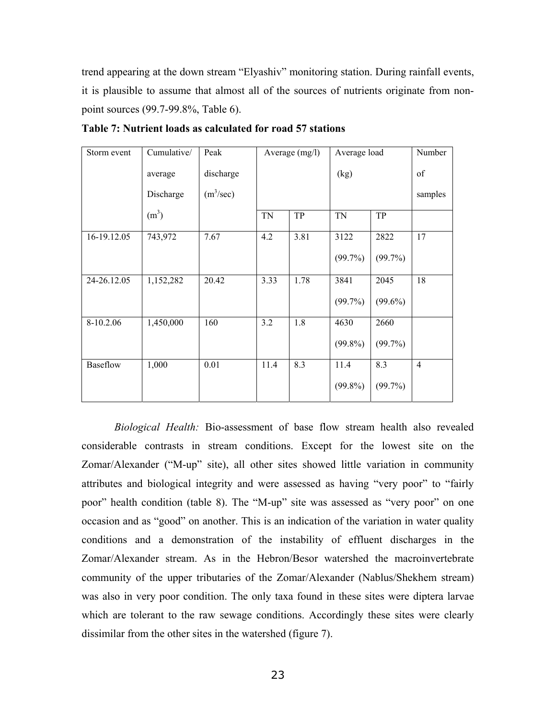trend appearing at the down stream "Elyashiv" monitoring station. During rainfall events, it is plausible to assume that almost all of the sources of nutrients originate from nonpoint sources (99.7-99.8%, Table 6).

| Storm event | Cumulative/       | Peak                  |           | Average $(mg/l)$ | Average load | Number     |                |
|-------------|-------------------|-----------------------|-----------|------------------|--------------|------------|----------------|
|             | average           | discharge             |           |                  | (kg)         | of         |                |
|             | Discharge         | (m <sup>3</sup> /sec) |           |                  |              | samples    |                |
|             | (m <sup>3</sup> ) |                       | <b>TN</b> | TP               | <b>TN</b>    | TP         |                |
| 16-19.12.05 | 743,972           | 7.67                  | 4.2       | 3.81             | 3122         | 2822       | 17             |
|             |                   |                       |           |                  | (99.7%)      | (99.7%)    |                |
| 24-26.12.05 | 1,152,282         | 20.42                 | 3.33      | 1.78             | 3841         | 2045       | 18             |
|             |                   |                       |           |                  | (99.7%)      | $(99.6\%)$ |                |
| 8-10.2.06   | 1,450,000         | 160                   | 3.2       | 1.8              | 4630         | 2660       |                |
|             |                   |                       |           |                  | $(99.8\%)$   | (99.7%)    |                |
| Baseflow    | 1,000             | 0.01                  | 11.4      | 8.3              | 11.4         | 8.3        | $\overline{4}$ |
|             |                   |                       |           |                  | $(99.8\%)$   | $(99.7\%)$ |                |

**Table 7: Nutrient loads as calculated for road 57 stations** 

*Biological Health:* Bio-assessment of base flow stream health also revealed considerable contrasts in stream conditions. Except for the lowest site on the Zomar/Alexander ("M-up" site), all other sites showed little variation in community attributes and biological integrity and were assessed as having "very poor" to "fairly poor" health condition (table 8). The "M-up" site was assessed as "very poor" on one occasion and as "good" on another. This is an indication of the variation in water quality conditions and a demonstration of the instability of effluent discharges in the Zomar/Alexander stream. As in the Hebron/Besor watershed the macroinvertebrate community of the upper tributaries of the Zomar/Alexander (Nablus/Shekhem stream) was also in very poor condition. The only taxa found in these sites were diptera larvae which are tolerant to the raw sewage conditions. Accordingly these sites were clearly dissimilar from the other sites in the watershed (figure 7).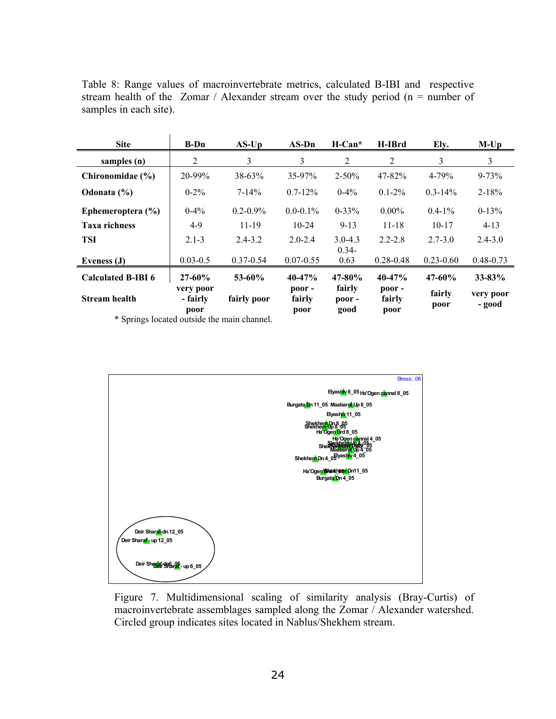Table 8: Range values of macroinvertebrate metrics, calculated B-IBI and respective stream health of the Zomar / Alexander stream over the study period ( $n =$  number of samples in each site).

| <b>Site</b>                                                                                                                                                                                                                                           | $B-Dn$                  | $AS$ -Up      | $AS-Dn$                     | $H-Can*$                | H-IBrd                      | Ely.           | $M$ -Up             |
|-------------------------------------------------------------------------------------------------------------------------------------------------------------------------------------------------------------------------------------------------------|-------------------------|---------------|-----------------------------|-------------------------|-----------------------------|----------------|---------------------|
| samples (n)                                                                                                                                                                                                                                           | 2                       | 3             | 3                           | 2                       | 2                           | 3              | 3                   |
| Chironomidae (%)                                                                                                                                                                                                                                      | 20-99%                  | $38 - 63%$    | $35 - 97%$                  | $2 - 50\%$              | $47 - 82%$                  | $4 - 79%$      | $9 - 73%$           |
| Odonata (%)                                                                                                                                                                                                                                           | $0 - 2\%$               | $7 - 14\%$    | $0.7 - 12\%$                | $0-4%$                  | $0.1 - 2\%$                 | $0.3 - 14\%$   | $2 - 18%$           |
| Ephemeroptera $(\% )$                                                                                                                                                                                                                                 | $0-4%$                  | $0.2 - 0.9\%$ | $0.0 - 0.1\%$               | $0 - 33%$               | $0.00\%$                    | $0.4 - 1\%$    | $0-13%$             |
| <b>Taxa richness</b>                                                                                                                                                                                                                                  | $4-9$                   | $11 - 19$     | $10-24$                     | $9 - 13$                | $11 - 18$                   | $10 - 17$      | $4-13$              |
| <b>TSI</b>                                                                                                                                                                                                                                            | $2.1 - 3$               | $2.4 - 3.2$   | $2.0 - 2.4$                 | $3.0 - 4.3$<br>$0.34 -$ | $2.2 - 2.8$                 | $2.7 - 3.0$    | $2.4 - 3.0$         |
| Eveness (J)                                                                                                                                                                                                                                           | $0.03 - 0.5$            | $0.37 - 0.54$ | $0.07 - 0.55$               | 0.63                    | $0.28 - 0.48$               | $0.23 - 0.60$  | $0.48 - 0.73$       |
| <b>Calculated B-IBI 6</b>                                                                                                                                                                                                                             | $27 - 60%$<br>very poor | $53 - 60%$    | $40 - 47%$<br>$\bf{poor}$ - | $47 - 80\%$<br>fairly   | $40 - 47%$<br>$\bf{poor}$ - | $47 - 60\%$    | $33 - 83%$          |
| <b>Stream health</b><br>the company of the company of the company of the company of the company of the company of the company of the company of the company of the company of the company of the company of the company of the company of the company | - fairly<br>poor        | fairly poor   | fairly<br>poor              | poor -<br>good          | fairly<br>poor              | fairly<br>poor | very poor<br>- good |

\* Springs located outside the main channel.



Figure 7. Multidimensional scaling of similarity analysis (Bray-Curtis) of macroinvertebrate assemblages sampled along the Zomar / Alexander watershed. Circled group indicates sites located in Nablus/Shekhem stream.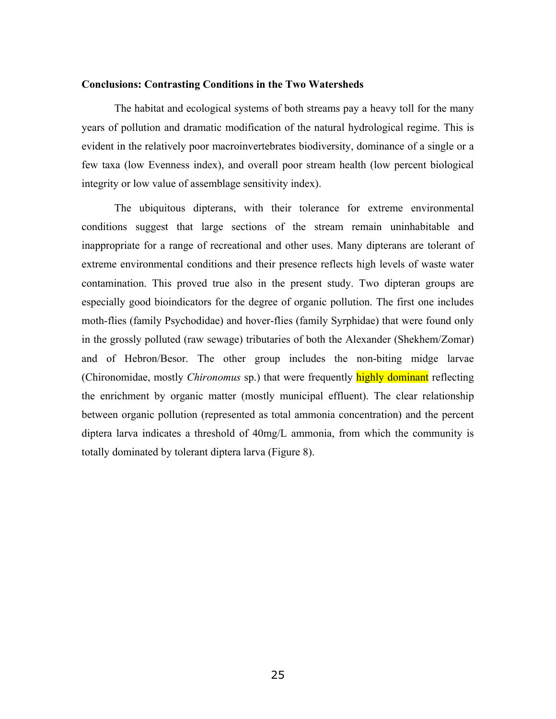#### **Conclusions: Contrasting Conditions in the Two Watersheds**

The habitat and ecological systems of both streams pay a heavy toll for the many years of pollution and dramatic modification of the natural hydrological regime. This is evident in the relatively poor macroinvertebrates biodiversity, dominance of a single or a few taxa (low Evenness index), and overall poor stream health (low percent biological integrity or low value of assemblage sensitivity index).

The ubiquitous dipterans, with their tolerance for extreme environmental conditions suggest that large sections of the stream remain uninhabitable and inappropriate for a range of recreational and other uses. Many dipterans are tolerant of extreme environmental conditions and their presence reflects high levels of waste water contamination. This proved true also in the present study. Two dipteran groups are especially good bioindicators for the degree of organic pollution. The first one includes moth-flies (family Psychodidae) and hover-flies (family Syrphidae) that were found only in the grossly polluted (raw sewage) tributaries of both the Alexander (Shekhem/Zomar) and of Hebron/Besor. The other group includes the non-biting midge larvae (Chironomidae, mostly *Chironomus* sp.) that were frequently highly dominant reflecting the enrichment by organic matter (mostly municipal effluent). The clear relationship between organic pollution (represented as total ammonia concentration) and the percent diptera larva indicates a threshold of 40mg/L ammonia, from which the community is totally dominated by tolerant diptera larva (Figure 8).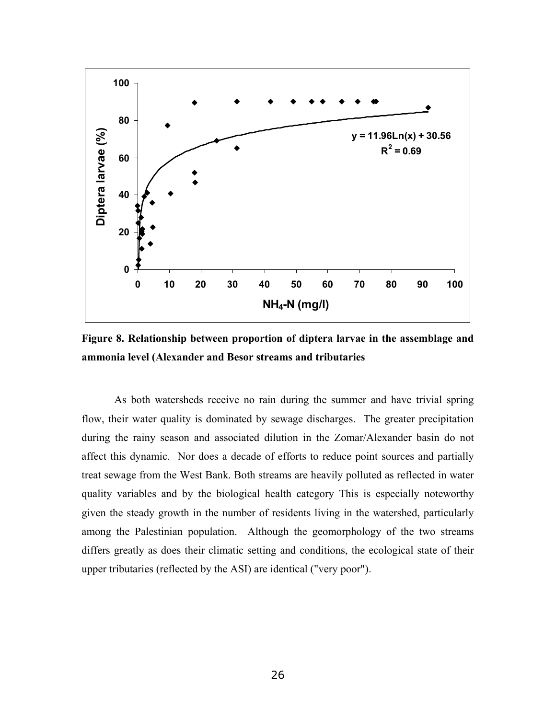

**Figure 8. Relationship between proportion of diptera larvae in the assemblage and ammonia level (Alexander and Besor streams and tributaries** 

As both watersheds receive no rain during the summer and have trivial spring flow, their water quality is dominated by sewage discharges. The greater precipitation during the rainy season and associated dilution in the Zomar/Alexander basin do not affect this dynamic. Nor does a decade of efforts to reduce point sources and partially treat sewage from the West Bank. Both streams are heavily polluted as reflected in water quality variables and by the biological health category This is especially noteworthy given the steady growth in the number of residents living in the watershed, particularly among the Palestinian population. Although the geomorphology of the two streams differs greatly as does their climatic setting and conditions, the ecological state of their upper tributaries (reflected by the ASI) are identical ("very poor").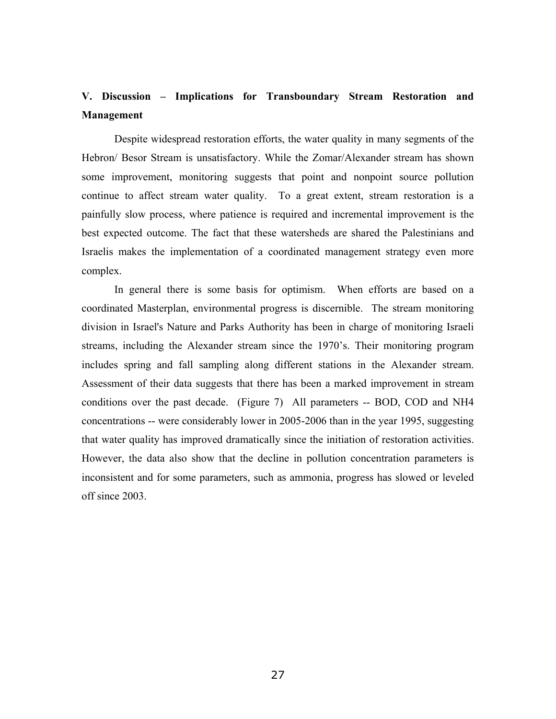# **V. Discussion – Implications for Transboundary Stream Restoration and Management**

Despite widespread restoration efforts, the water quality in many segments of the Hebron/ Besor Stream is unsatisfactory. While the Zomar/Alexander stream has shown some improvement, monitoring suggests that point and nonpoint source pollution continue to affect stream water quality. To a great extent, stream restoration is a painfully slow process, where patience is required and incremental improvement is the best expected outcome. The fact that these watersheds are shared the Palestinians and Israelis makes the implementation of a coordinated management strategy even more complex.

In general there is some basis for optimism. When efforts are based on a coordinated Masterplan, environmental progress is discernible. The stream monitoring division in Israel's Nature and Parks Authority has been in charge of monitoring Israeli streams, including the Alexander stream since the 1970's. Their monitoring program includes spring and fall sampling along different stations in the Alexander stream. Assessment of their data suggests that there has been a marked improvement in stream conditions over the past decade. (Figure 7) All parameters -- BOD, COD and NH4 concentrations -- were considerably lower in 2005-2006 than in the year 1995, suggesting that water quality has improved dramatically since the initiation of restoration activities. However, the data also show that the decline in pollution concentration parameters is inconsistent and for some parameters, such as ammonia, progress has slowed or leveled off since 2003.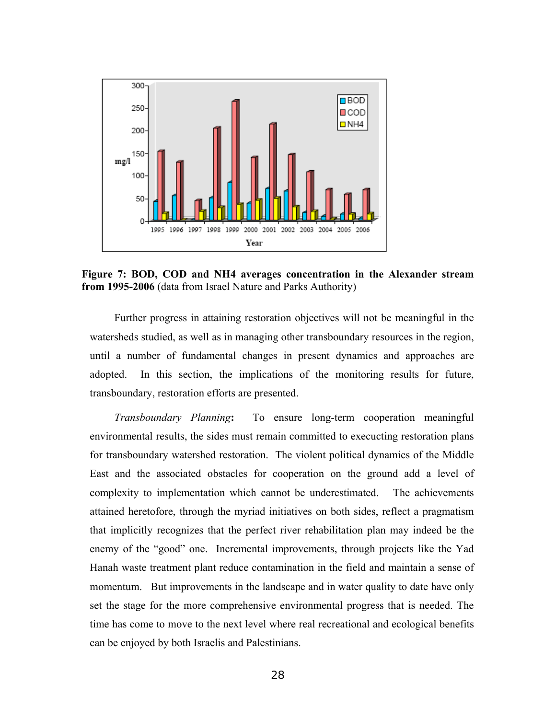

**Figure 7: BOD, COD and NH4 averages concentration in the Alexander stream from 1995-2006** (data from Israel Nature and Parks Authority)

Further progress in attaining restoration objectives will not be meaningful in the watersheds studied, as well as in managing other transboundary resources in the region, until a number of fundamental changes in present dynamics and approaches are adopted. In this section, the implications of the monitoring results for future, transboundary, restoration efforts are presented.

*Transboundary Planning***:** To ensure long-term cooperation meaningful environmental results, the sides must remain committed to execucting restoration plans for transboundary watershed restoration. The violent political dynamics of the Middle East and the associated obstacles for cooperation on the ground add a level of complexity to implementation which cannot be underestimated. The achievements attained heretofore, through the myriad initiatives on both sides, reflect a pragmatism that implicitly recognizes that the perfect river rehabilitation plan may indeed be the enemy of the "good" one. Incremental improvements, through projects like the Yad Hanah waste treatment plant reduce contamination in the field and maintain a sense of momentum. But improvements in the landscape and in water quality to date have only set the stage for the more comprehensive environmental progress that is needed. The time has come to move to the next level where real recreational and ecological benefits can be enjoyed by both Israelis and Palestinians.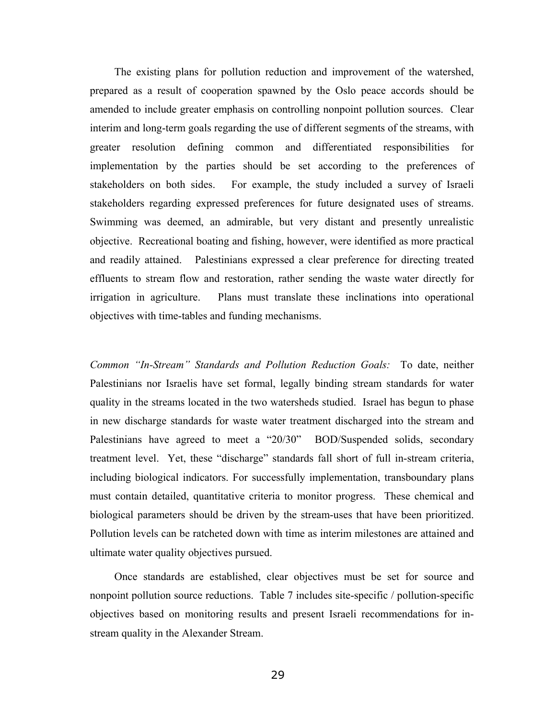The existing plans for pollution reduction and improvement of the watershed, prepared as a result of cooperation spawned by the Oslo peace accords should be amended to include greater emphasis on controlling nonpoint pollution sources. Clear interim and long-term goals regarding the use of different segments of the streams, with greater resolution defining common and differentiated responsibilities for implementation by the parties should be set according to the preferences of stakeholders on both sides. For example, the study included a survey of Israeli stakeholders regarding expressed preferences for future designated uses of streams. Swimming was deemed, an admirable, but very distant and presently unrealistic objective. Recreational boating and fishing, however, were identified as more practical and readily attained. Palestinians expressed a clear preference for directing treated effluents to stream flow and restoration, rather sending the waste water directly for irrigation in agriculture. Plans must translate these inclinations into operational objectives with time-tables and funding mechanisms.

*Common "In-Stream" Standards and Pollution Reduction Goals:*To date, neither Palestinians nor Israelis have set formal, legally binding stream standards for water quality in the streams located in the two watersheds studied. Israel has begun to phase in new discharge standards for waste water treatment discharged into the stream and Palestinians have agreed to meet a "20/30" BOD/Suspended solids, secondary treatment level. Yet, these "discharge" standards fall short of full in-stream criteria, including biological indicators. For successfully implementation, transboundary plans must contain detailed, quantitative criteria to monitor progress. These chemical and biological parameters should be driven by the stream-uses that have been prioritized. Pollution levels can be ratcheted down with time as interim milestones are attained and ultimate water quality objectives pursued.

Once standards are established, clear objectives must be set for source and nonpoint pollution source reductions. Table 7 includes site-specific / pollution-specific objectives based on monitoring results and present Israeli recommendations for instream quality in the Alexander Stream.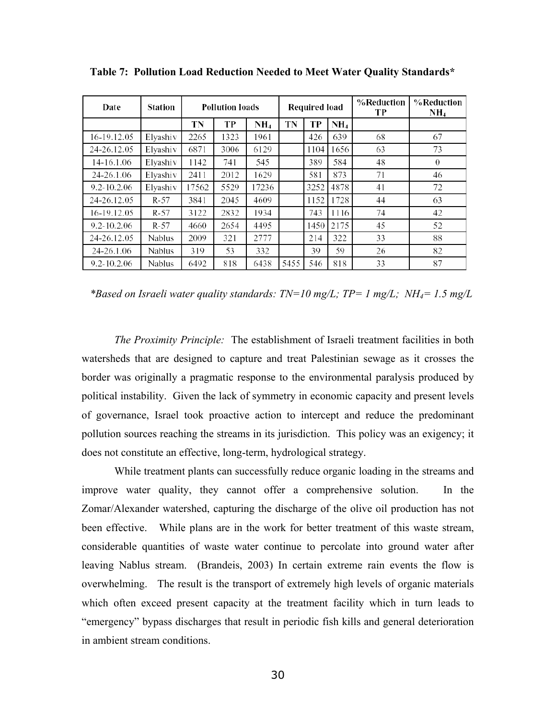| Date            | <b>Station</b> |       | <b>Pollution loads</b> |                 | Required load |      |      | %Reduction<br>TР | %Reduction<br>$NH_4$ |
|-----------------|----------------|-------|------------------------|-----------------|---------------|------|------|------------------|----------------------|
|                 |                | TN    | TP                     | NH <sub>4</sub> | TN            | TP   | NH4  |                  |                      |
| 16-19.12.05     | Elyashiv       | 2265  | 1323                   | 1961            |               | 426  | 639  | 68               | 67                   |
| 24-26.12.05     | Elyashiv       | 6871  | 3006                   | 6129            |               | 1104 | 1656 | 63               | 73                   |
| 14-16.1.06      | Elyashiv       | 1142  | 741                    | 545             |               | 389  | 584  | 48               | $\Omega$             |
| 24-26.1.06      | Elyashiv       | 2411  | 2012                   | 1629            |               | 581  | 873  | 71               | 46                   |
| $9.2 - 10.2.06$ | Elyashiv       | 17562 | 5529                   | 17236           |               | 3252 | 4878 | 41               | 72                   |
| 24-26.12.05     | $R-57$         | 3841  | 2045                   | 4609            |               | 1152 | 1728 | 44               | 63                   |
| 16-19.12.05     | R-57           | 3122  | 2832                   | 1934            |               | 743  | 1116 | 74               | 42                   |
| $9.2 - 10.2.06$ | $R-57$         | 4660  | 2654                   | 4495            |               | 1450 | 2175 | 45               | 52                   |
| 24-26.12.05     | Nablus         | 2009  | 321                    | 2777            |               | 214  | 322  | 33               | 88                   |
| 24-26.1.06      | <b>Nablus</b>  | 319   | 53                     | 332             |               | 39   | 59   | 26               | 82                   |
| $9.2 - 10.2.06$ | Nablus         | 6492  | 818                    | 6438            | 5455          | 546  | 818  | 33               | 87                   |

**Table 7: Pollution Load Reduction Needed to Meet Water Quality Standards\*** 

*\*Based on Israeli water quality standards: TN=10 mg/L; TP= 1 mg/L; NH4= 1.5 mg/L* 

*The Proximity Principle:* The establishment of Israeli treatment facilities in both watersheds that are designed to capture and treat Palestinian sewage as it crosses the border was originally a pragmatic response to the environmental paralysis produced by political instability. Given the lack of symmetry in economic capacity and present levels of governance, Israel took proactive action to intercept and reduce the predominant pollution sources reaching the streams in its jurisdiction. This policy was an exigency; it does not constitute an effective, long-term, hydrological strategy.

While treatment plants can successfully reduce organic loading in the streams and improve water quality, they cannot offer a comprehensive solution. In the Zomar/Alexander watershed, capturing the discharge of the olive oil production has not been effective. While plans are in the work for better treatment of this waste stream, considerable quantities of waste water continue to percolate into ground water after leaving Nablus stream. (Brandeis, 2003) In certain extreme rain events the flow is overwhelming. The result is the transport of extremely high levels of organic materials which often exceed present capacity at the treatment facility which in turn leads to "emergency" bypass discharges that result in periodic fish kills and general deterioration in ambient stream conditions.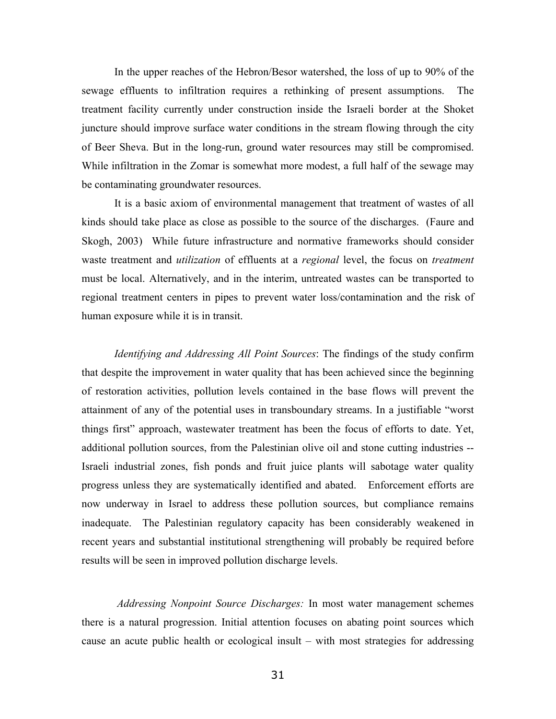In the upper reaches of the Hebron/Besor watershed, the loss of up to 90% of the sewage effluents to infiltration requires a rethinking of present assumptions. The treatment facility currently under construction inside the Israeli border at the Shoket juncture should improve surface water conditions in the stream flowing through the city of Beer Sheva. But in the long-run, ground water resources may still be compromised. While infiltration in the Zomar is somewhat more modest, a full half of the sewage may be contaminating groundwater resources.

It is a basic axiom of environmental management that treatment of wastes of all kinds should take place as close as possible to the source of the discharges. (Faure and Skogh, 2003) While future infrastructure and normative frameworks should consider waste treatment and *utilization* of effluents at a *regional* level, the focus on *treatment* must be local. Alternatively, and in the interim, untreated wastes can be transported to regional treatment centers in pipes to prevent water loss/contamination and the risk of human exposure while it is in transit.

*Identifying and Addressing All Point Sources*: The findings of the study confirm that despite the improvement in water quality that has been achieved since the beginning of restoration activities, pollution levels contained in the base flows will prevent the attainment of any of the potential uses in transboundary streams. In a justifiable "worst" things first" approach, wastewater treatment has been the focus of efforts to date. Yet, additional pollution sources, from the Palestinian olive oil and stone cutting industries -- Israeli industrial zones, fish ponds and fruit juice plants will sabotage water quality progress unless they are systematically identified and abated. Enforcement efforts are now underway in Israel to address these pollution sources, but compliance remains inadequate. The Palestinian regulatory capacity has been considerably weakened in recent years and substantial institutional strengthening will probably be required before results will be seen in improved pollution discharge levels.

*Addressing Nonpoint Source Discharges:* In most water management schemes there is a natural progression. Initial attention focuses on abating point sources which cause an acute public health or ecological insult – with most strategies for addressing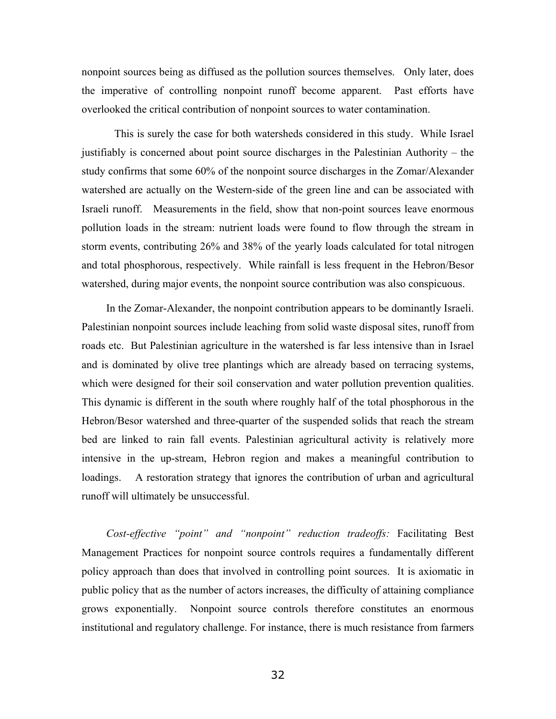nonpoint sources being as diffused as the pollution sources themselves. Only later, does the imperative of controlling nonpoint runoff become apparent. Past efforts have overlooked the critical contribution of nonpoint sources to water contamination.

This is surely the case for both watersheds considered in this study. While Israel justifiably is concerned about point source discharges in the Palestinian Authority  $-$  the study confirms that some 60% of the nonpoint source discharges in the Zomar/Alexander watershed are actually on the Western-side of the green line and can be associated with Israeli runoff. Measurements in the field, show that non-point sources leave enormous pollution loads in the stream: nutrient loads were found to flow through the stream in storm events, contributing 26% and 38% of the yearly loads calculated for total nitrogen and total phosphorous, respectively. While rainfall is less frequent in the Hebron/Besor watershed, during major events, the nonpoint source contribution was also conspicuous.

In the Zomar-Alexander, the nonpoint contribution appears to be dominantly Israeli. Palestinian nonpoint sources include leaching from solid waste disposal sites, runoff from roads etc. But Palestinian agriculture in the watershed is far less intensive than in Israel and is dominated by olive tree plantings which are already based on terracing systems, which were designed for their soil conservation and water pollution prevention qualities. This dynamic is different in the south where roughly half of the total phosphorous in the Hebron/Besor watershed and three-quarter of the suspended solids that reach the stream bed are linked to rain fall events. Palestinian agricultural activity is relatively more intensive in the up-stream, Hebron region and makes a meaningful contribution to loadings. A restoration strategy that ignores the contribution of urban and agricultural runoff will ultimately be unsuccessful.

*Cost-effective "point" and "nonpoint" reduction tradeoffs:* Facilitating Best Management Practices for nonpoint source controls requires a fundamentally different policy approach than does that involved in controlling point sources. It is axiomatic in public policy that as the number of actors increases, the difficulty of attaining compliance grows exponentially. Nonpoint source controls therefore constitutes an enormous institutional and regulatory challenge. For instance, there is much resistance from farmers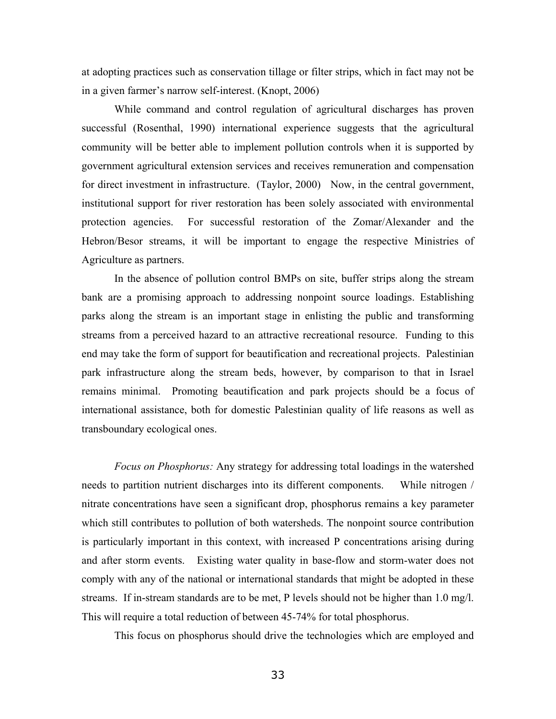at adopting practices such as conservation tillage or filter strips, which in fact may not be in a given farmer's narrow self-interest. (Knopt, 2006)

While command and control regulation of agricultural discharges has proven successful (Rosenthal, 1990) international experience suggests that the agricultural community will be better able to implement pollution controls when it is supported by government agricultural extension services and receives remuneration and compensation for direct investment in infrastructure. (Taylor, 2000) Now, in the central government, institutional support for river restoration has been solely associated with environmental protection agencies. For successful restoration of the Zomar/Alexander and the Hebron/Besor streams, it will be important to engage the respective Ministries of Agriculture as partners.

In the absence of pollution control BMPs on site, buffer strips along the stream bank are a promising approach to addressing nonpoint source loadings. Establishing parks along the stream is an important stage in enlisting the public and transforming streams from a perceived hazard to an attractive recreational resource. Funding to this end may take the form of support for beautification and recreational projects. Palestinian park infrastructure along the stream beds, however, by comparison to that in Israel remains minimal. Promoting beautification and park projects should be a focus of international assistance, both for domestic Palestinian quality of life reasons as well as transboundary ecological ones.

*Focus on Phosphorus:* Any strategy for addressing total loadings in the watershed needs to partition nutrient discharges into its different components. While nitrogen / nitrate concentrations have seen a significant drop, phosphorus remains a key parameter which still contributes to pollution of both watersheds. The nonpoint source contribution is particularly important in this context, with increased P concentrations arising during and after storm events. Existing water quality in base-flow and storm-water does not comply with any of the national or international standards that might be adopted in these streams. If in-stream standards are to be met, P levels should not be higher than 1.0 mg/l. This will require a total reduction of between 45-74% for total phosphorus.

This focus on phosphorus should drive the technologies which are employed and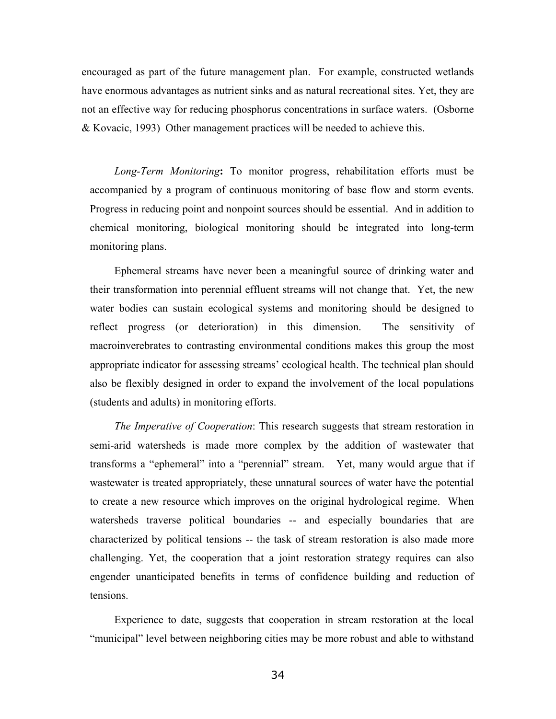encouraged as part of the future management plan. For example, constructed wetlands have enormous advantages as nutrient sinks and as natural recreational sites. Yet, they are not an effective way for reducing phosphorus concentrations in surface waters. (Osborne & Kovacic, 1993) Other management practices will be needed to achieve this.

*Long-Term Monitoring***:** To monitor progress, rehabilitation efforts must be accompanied by a program of continuous monitoring of base flow and storm events. Progress in reducing point and nonpoint sources should be essential. And in addition to chemical monitoring, biological monitoring should be integrated into long-term monitoring plans.

Ephemeral streams have never been a meaningful source of drinking water and their transformation into perennial effluent streams will not change that. Yet, the new water bodies can sustain ecological systems and monitoring should be designed to reflect progress (or deterioration) in this dimension. The sensitivity of macroinverebrates to contrasting environmental conditions makes this group the most appropriate indicator for assessing streams' ecological health. The technical plan should also be flexibly designed in order to expand the involvement of the local populations (students and adults) in monitoring efforts.

*The Imperative of Cooperation*: This research suggests that stream restoration in semi-arid watersheds is made more complex by the addition of wastewater that transforms a "ephemeral" into a "perennial" stream. Yet, many would argue that if wastewater is treated appropriately, these unnatural sources of water have the potential to create a new resource which improves on the original hydrological regime. When watersheds traverse political boundaries -- and especially boundaries that are characterized by political tensions -- the task of stream restoration is also made more challenging. Yet, the cooperation that a joint restoration strategy requires can also engender unanticipated benefits in terms of confidence building and reduction of tensions.

Experience to date, suggests that cooperation in stream restoration at the local "municipal" level between neighboring cities may be more robust and able to withstand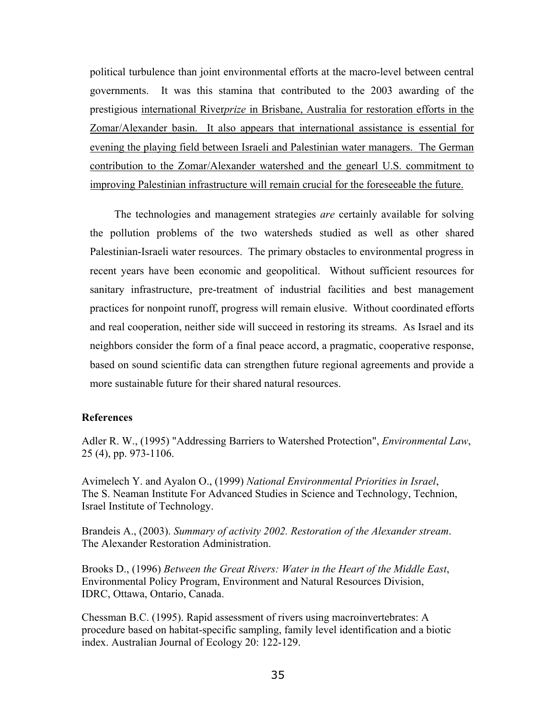political turbulence than joint environmental efforts at the macro-level between central governments. It was this stamina that contributed to the 2003 awarding of the prestigious international River*prize* in Brisbane, Australia for restoration efforts in the Zomar/Alexander basin. It also appears that international assistance is essential for evening the playing field between Israeli and Palestinian water managers. The German contribution to the Zomar/Alexander watershed and the genearl U.S. commitment to improving Palestinian infrastructure will remain crucial for the foreseeable the future.

The technologies and management strategies *are* certainly available for solving the pollution problems of the two watersheds studied as well as other shared Palestinian-Israeli water resources. The primary obstacles to environmental progress in recent years have been economic and geopolitical. Without sufficient resources for sanitary infrastructure, pre-treatment of industrial facilities and best management practices for nonpoint runoff, progress will remain elusive. Without coordinated efforts and real cooperation, neither side will succeed in restoring its streams. As Israel and its neighbors consider the form of a final peace accord, a pragmatic, cooperative response, based on sound scientific data can strengthen future regional agreements and provide a more sustainable future for their shared natural resources.

## **References**

Adler R. W., (1995) "Addressing Barriers to Watershed Protection", *Environmental Law*, 25 (4), pp. 973-1106.

Avimelech Y. and Ayalon O., (1999) *National Environmental Priorities in Israel*, The S. Neaman Institute For Advanced Studies in Science and Technology, Technion, Israel Institute of Technology.

Brandeis A., (2003). *Summary of activity 2002. Restoration of the Alexander stream*. The Alexander Restoration Administration.

Brooks D., (1996) *Between the Great Rivers: Water in the Heart of the Middle East*, Environmental Policy Program, Environment and Natural Resources Division, IDRC, Ottawa, Ontario, Canada.

Chessman B.C. (1995). Rapid assessment of rivers using macroinvertebrates: A procedure based on habitat-specific sampling, family level identification and a biotic index. Australian Journal of Ecology 20: 122-129.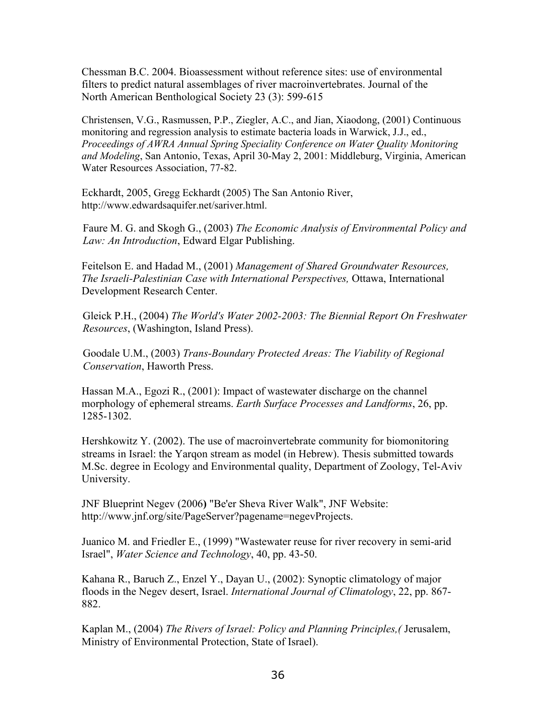Chessman B.C. 2004. Bioassessment without reference sites: use of environmental filters to predict natural assemblages of river macroinvertebrates. Journal of the North American Benthological Society 23 (3): 599-615

Christensen, V.G., Rasmussen, P.P., Ziegler, A.C., and Jian, Xiaodong, (2001) Continuous monitoring and regression analysis to estimate bacteria loads in Warwick, J.J., ed., *Proceedings of AWRA Annual Spring Speciality Conference on Water Quality Monitoring and Modeling*, San Antonio, Texas, April 30-May 2, 2001: Middleburg, Virginia, American Water Resources Association, 77-82.

Eckhardt, 2005, Gregg Eckhardt (2005) The San Antonio River, http://www.edwardsaquifer.net/sariver.html.

Faure M. G. and Skogh G., (2003) *The Economic Analysis of Environmental Policy and Law: An Introduction*, Edward Elgar Publishing.

Feitelson E. and Hadad M., (2001) *Management of Shared Groundwater Resources, The Israeli-Palestinian Case with International Perspectives,* Ottawa, International Development Research Center.

Gleick P.H., (2004) *The World's Water 2002-2003: The Biennial Report On Freshwater Resources*, (Washington, Island Press).

Goodale U.M., (2003) *Trans-Boundary Protected Areas: The Viability of Regional Conservation*, Haworth Press.

Hassan M.A., Egozi R., (2001): Impact of wastewater discharge on the channel morphology of ephemeral streams. *Earth Surface Processes and Landforms*, 26, pp. 1285-1302.

Hershkowitz Y. (2002). The use of macroinvertebrate community for biomonitoring streams in Israel: the Yarqon stream as model (in Hebrew). Thesis submitted towards M.Sc. degree in Ecology and Environmental quality, Department of Zoology, Tel-Aviv University.

JNF Blueprint Negev (2006**)** "Be'er Sheva River Walk", JNF Website: [http://www.jnf.org/site/PageServer?pagename=negevProjects.](http://www.jnf.org/site/PageServer?pagename=negevProjects)

Juanico M. and Friedler E., (1999) "Wastewater reuse for river recovery in semi-arid Israel", *Water Science and Technology*, 40, pp. 43-50.

Kahana R., Baruch Z., Enzel Y., Dayan U., (2002): Synoptic climatology of major floods in the Negev desert, Israel. *International Journal of Climatology*, 22, pp. 867- 882.

Kaplan M., (2004) *The Rivers of Israel: Policy and Planning Principles,(* Jerusalem, Ministry of Environmental Protection, State of Israel).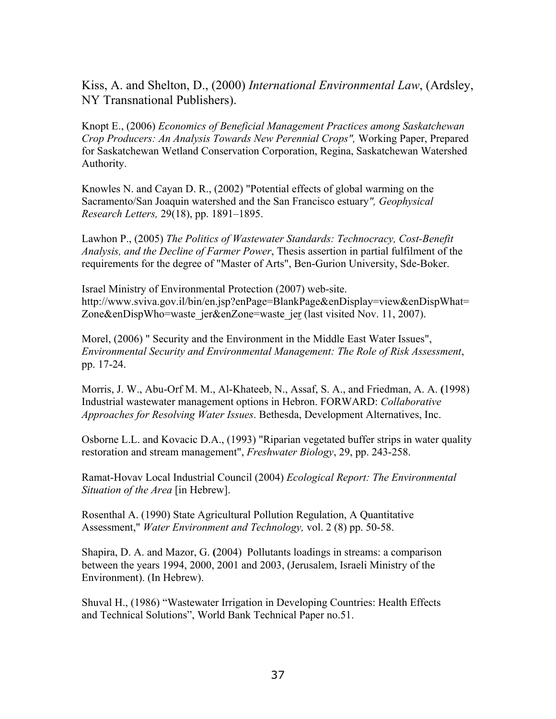Kiss, A. and Shelton, D., (2000) *International Environmental Law*, (Ardsley, NY Transnational Publishers).

Knopt E., (2006) *Economics of Beneficial Management Practices among Saskatchewan Crop Producers: An Analysis Towards New Perennial Crops",* Working Paper, Prepared for Saskatchewan Wetland Conservation Corporation, Regina, Saskatchewan Watershed Authority.

Knowles N. and Cayan D. R., (2002) "Potential effects of global warming on the Sacramento/San Joaquin watershed and the San Francisco estuary*", Geophysical Research Letters,* 29(18), pp. 1891–1895.

Lawhon P., (2005) *The Politics of Wastewater Standards: Technocracy, Cost-Benefit Analysis, and the Decline of Farmer Power*, Thesis assertion in partial fulfilment of the requirements for the degree of "Master of Arts", Ben-Gurion University, Sde-Boker.

Israel Ministry of Environmental Protection (2007) web-site. [http://www.sviva.gov.il/bin/en.jsp?enPage=BlankPage&enDisplay=view&enDispWhat=](http://www.sviva.gov.il/bin/en.jsp?enPage=BlankPage&enDisplay=view&enDispWhat=Zone&enDispWho=waste_jer&enZone=waste_jer) [Zone&enDispWho=waste\\_jer&enZone=waste\\_jer](http://www.sviva.gov.il/bin/en.jsp?enPage=BlankPage&enDisplay=view&enDispWhat=Zone&enDispWho=waste_jer&enZone=waste_jer) (last visited Nov. 11, 2007).

Morel, (2006) " Security and the Environment in the Middle East Water Issues", *Environmental Security and Environmental Management: The Role of Risk Assessment*, pp. 17-24.

Morris, J. W., Abu-Orf M. M., Al-Khateeb, N., Assaf, S. A., and Friedman, A. A. **(**1998) Industrial wastewater management options in Hebron. FORWARD: *Collaborative Approaches for Resolving Water Issues*. Bethesda, Development Alternatives, Inc.

Osborne L.L. and Kovacic D.A., (1993) "Riparian vegetated buffer strips in water quality restoration and stream management", *Freshwater Biology*, 29, pp. 243-258.

Ramat-Hovav Local Industrial Council (2004) *Ecological Report: The Environmental Situation of the Area* [in Hebrew].

Rosenthal A. (1990) State Agricultural Pollution Regulation, A Quantitative Assessment," *Water Environment and Technology,* vol. 2 (8) pp. 50-58.

Shapira, D. A. and Mazor, G. **(**2004) Pollutants loadings in streams: a comparison between the years 1994, 2000, 2001 and 2003, (Jerusalem, Israeli Ministry of the Environment). (In Hebrew).

Shuval H., (1986) "Wastewater Irrigation in Developing Countries: Health Effects and Technical Solutions", World Bank Technical Paper no.51.